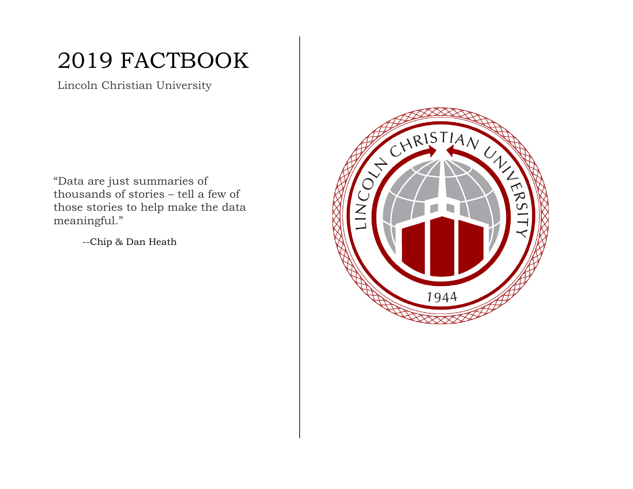# 2019 FACTBOOK

Lincoln Christian University

"Data are just summaries of thousands of stories – tell a few of those stories to help make the data meaningful."

--Chip & Dan Heath

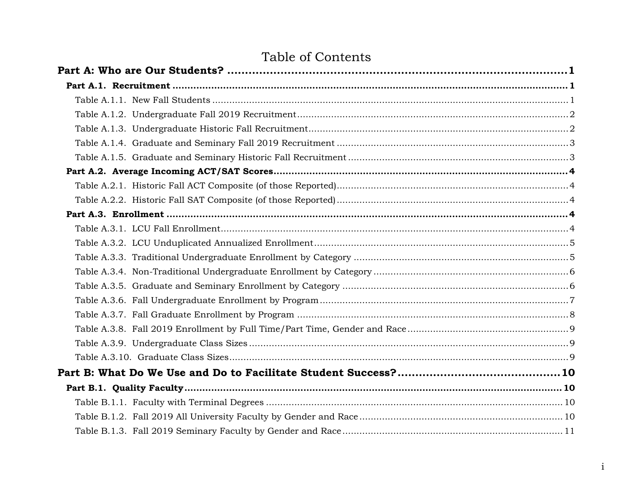## Table of Contents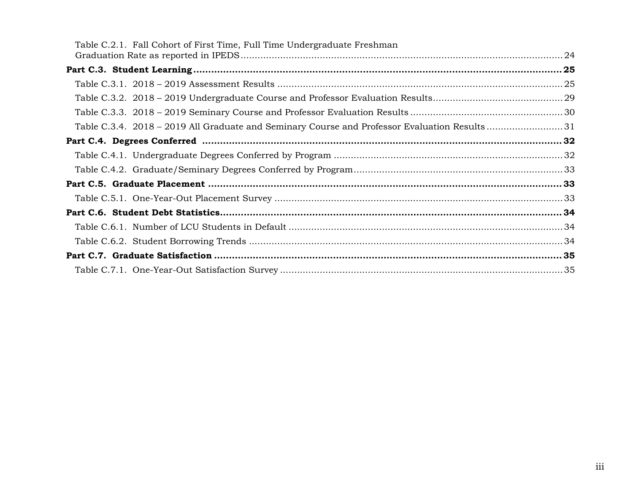| Table C.2.1. Fall Cohort of First Time, Full Time Undergraduate Freshman                     |  |
|----------------------------------------------------------------------------------------------|--|
|                                                                                              |  |
|                                                                                              |  |
|                                                                                              |  |
|                                                                                              |  |
|                                                                                              |  |
| Table C.3.4. 2018 – 2019 All Graduate and Seminary Course and Professor Evaluation Results31 |  |
|                                                                                              |  |
|                                                                                              |  |
|                                                                                              |  |
|                                                                                              |  |
|                                                                                              |  |
|                                                                                              |  |
|                                                                                              |  |
|                                                                                              |  |
|                                                                                              |  |
|                                                                                              |  |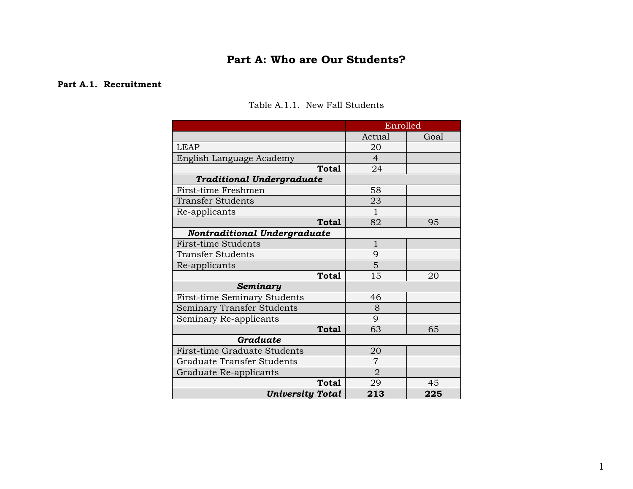### **Part A: Who are Our Students?**

#### <span id="page-4-2"></span><span id="page-4-1"></span><span id="page-4-0"></span>**Part A.1. Recruitment**

|                                   | Enrolled       |      |
|-----------------------------------|----------------|------|
|                                   | Actual         | Goal |
| <b>LEAP</b>                       | 20             |      |
| English Language Academy          | $\overline{4}$ |      |
| Total                             | 24             |      |
| <b>Traditional Undergraduate</b>  |                |      |
| First-time Freshmen               | 58             |      |
| <b>Transfer Students</b>          | 23             |      |
| Re-applicants                     | 1              |      |
| <b>Total</b>                      | 82             | 95   |
| Nontraditional Undergraduate      |                |      |
| <b>First-time Students</b>        | $\mathbf{1}$   |      |
| Transfer Students                 | 9              |      |
| Re-applicants                     | 5              |      |
| <b>Total</b>                      | 15             | 20   |
| Seminary                          |                |      |
| First-time Seminary Students      | 46             |      |
| Seminary Transfer Students        | 8              |      |
| Seminary Re-applicants            | 9              |      |
| Total                             | 63             | 65   |
| Graduate                          |                |      |
| First-time Graduate Students      | 20             |      |
| <b>Graduate Transfer Students</b> | 7              |      |
| Graduate Re-applicants            | $\overline{2}$ |      |
| <b>Total</b>                      | 29             | 45   |
| <b>University Total</b>           | 213            | 225  |

### Table A.1.1. New Fall Students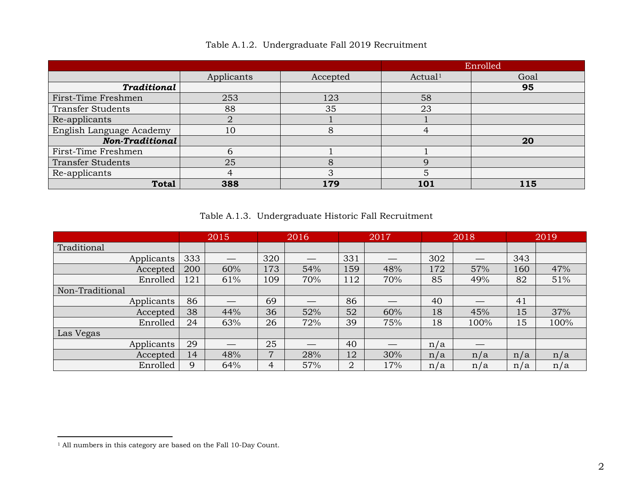<span id="page-5-0"></span>

|                          |            |          |                     | Enrolled |
|--------------------------|------------|----------|---------------------|----------|
|                          | Applicants | Accepted | Actual <sup>1</sup> | Goal     |
| <b>Traditional</b>       |            |          |                     | 95       |
| First-Time Freshmen      | 253        | 123      | 58                  |          |
| <b>Transfer Students</b> | 88         | 35       | 23                  |          |
| Re-applicants            |            |          |                     |          |
| English Language Academy | 10         |          | 4                   |          |
| Non-Traditional          |            |          |                     | 20       |
| First-Time Freshmen      | n          |          |                     |          |
| <b>Transfer Students</b> | 25         |          | Q                   |          |
| Re-applicants            |            | 3        | 5                   |          |
| <b>Total</b>             | 388        | 179      | 101                 | 115      |

<span id="page-5-2"></span>Table A.1.2. Undergraduate Fall 2019 Recruitment

Table A.1.3. Undergraduate Historic Fall Recruitment

<span id="page-5-1"></span>

|                 |     | 2015 |     | 2016 |                | 2017 |     | 2018 |     | 2019 |
|-----------------|-----|------|-----|------|----------------|------|-----|------|-----|------|
| Traditional     |     |      |     |      |                |      |     |      |     |      |
| Applicants      | 333 |      | 320 |      | 331            |      | 302 |      | 343 |      |
| Accepted        | 200 | 60%  | 173 | 54%  | 159            | 48%  | 172 | 57%  | 160 | 47%  |
| Enrolled        | 121 | 61%  | 109 | 70%  | 112            | 70%  | 85  | 49%  | 82  | 51%  |
| Non-Traditional |     |      |     |      |                |      |     |      |     |      |
| Applicants      | 86  |      | 69  |      | 86             |      | 40  |      | 41  |      |
| Accepted        | 38  | 44%  | 36  | 52%  | 52             | 60%  | 18  | 45%  | 15  | 37%  |
| Enrolled        | 24  | 63%  | 26  | 72%  | 39             | 75%  | 18  | 100% | 15  | 100% |
| Las Vegas       |     |      |     |      |                |      |     |      |     |      |
| Applicants      | 29  |      | 25  | ___  | 40             |      | n/a |      |     |      |
| Accepted        | 14  | 48%  | 7   | 28%  | 12             | 30%  | n/a | n/a  | n/a | n/a  |
| Enrolled        | 9   | 64%  | 4   | 57%  | $\overline{2}$ | 17%  | n/a | n/a  | n/a | n/a  |

<sup>1</sup> All numbers in this category are based on the Fall 10-Day Count.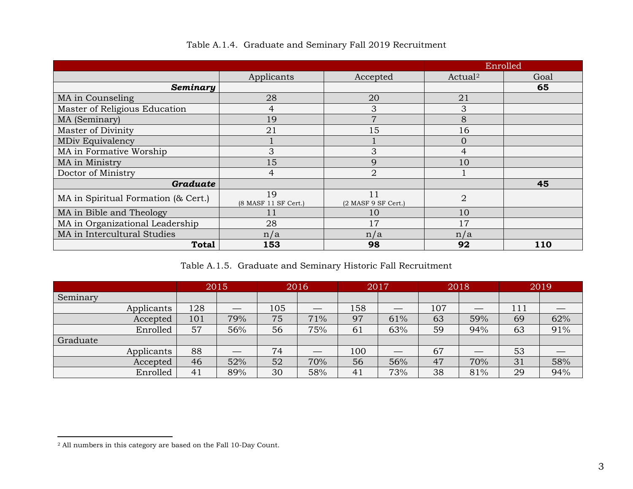<span id="page-6-0"></span>

|                                     |                            |                             |                     | Enrolled   |
|-------------------------------------|----------------------------|-----------------------------|---------------------|------------|
|                                     | Applicants                 | Accepted                    | Actual <sup>2</sup> | Goal       |
| Seminary                            |                            |                             |                     | 65         |
| MA in Counseling                    | 28                         | 20                          | 21                  |            |
| Master of Religious Education       | $\overline{4}$             | 3                           | 3                   |            |
| MA (Seminary)                       | 19                         | $\overline{7}$              | 8                   |            |
| Master of Divinity                  | 21                         | 15                          | 16                  |            |
| <b>MDiv Equivalency</b>             |                            |                             | $\overline{0}$      |            |
| MA in Formative Worship             | 3                          | 3                           | $\overline{4}$      |            |
| MA in Ministry                      | 15                         | 9                           | 10                  |            |
| Doctor of Ministry                  | $\overline{4}$             | $\overline{2}$              |                     |            |
| <b>Graduate</b>                     |                            |                             |                     | 45         |
| MA in Spiritual Formation (& Cert.) | 19<br>(8 MASF 11 SF Cert.) | 11<br>$(2$ MASF 9 SF Cert.) | $\overline{2}$      |            |
| MA in Bible and Theology            | 11                         | 10                          | 10                  |            |
| MA in Organizational Leadership     | 28                         | 17                          | 17                  |            |
| MA in Intercultural Studies         | n/a                        | n/a                         | n/a                 |            |
| <b>Total</b>                        | 153                        | 98                          | 92                  | <b>110</b> |

<span id="page-6-2"></span>

| Table A.1.4. Graduate and Seminary Fall 2019 Recruitment |  |  |
|----------------------------------------------------------|--|--|
|                                                          |  |  |

Table A.1.5. Graduate and Seminary Historic Fall Recruitment

<span id="page-6-1"></span>

|            | 2015 |     | 2016 |     | 2017 |     | 2018 |     | 2019 |     |
|------------|------|-----|------|-----|------|-----|------|-----|------|-----|
| Seminary   |      |     |      |     |      |     |      |     |      |     |
| Applicants | 128  |     | 105  |     | 158  |     | 107  |     | 111  |     |
| Accepted   | 101  | 79% | 75   | 71% | 97   | 61% | 63   | 59% | 69   | 62% |
| Enrolled   | 57   | 56% | 56   | 75% | 61   | 63% | 59   | 94% | 63   | 91% |
| Graduate   |      |     |      |     |      |     |      |     |      |     |
| Applicants | 88   |     | 74   |     | 100  |     | 67   |     | 53   |     |
| Accepted   | 46   | 52% | 52   | 70% | 56   | 56% | 47   | 70% | 31   | 58% |
| Enrolled   | 41   | 89% | 30   | 58% | 41   | 73% | 38   | 81% | 29   | 94% |

<sup>2</sup> All numbers in this category are based on the Fall 10-Day Count.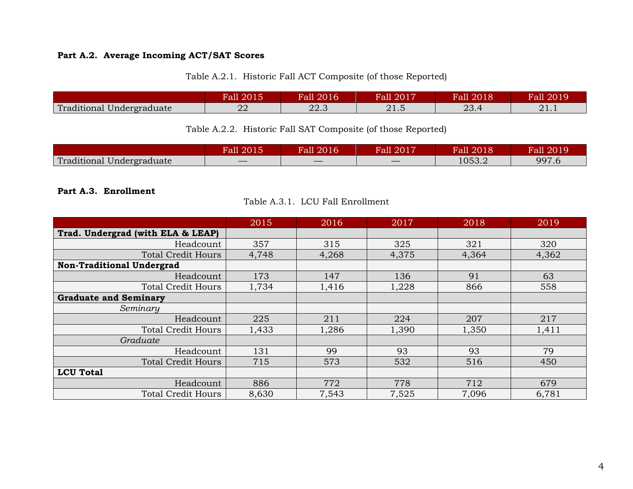### <span id="page-7-0"></span>**Part A.2. Average Incoming ACT/SAT Scores**

| Table A.2.1. Historic Fall ACT Composite (of those Reported) |  |
|--------------------------------------------------------------|--|
|--------------------------------------------------------------|--|

<span id="page-7-1"></span>

|                           | <b>Fall 2015</b> | <b>Fall 2016</b> | <b>Fall 2017</b>    | Fall 2018 | Fall 2019 |
|---------------------------|------------------|------------------|---------------------|-----------|-----------|
| Traditional Undergraduate | ററ               | ററ               | $\Omega$ 1 $\Gamma$ | റാ        | റ 1       |
|                           | 44               | 44.0             | 41.U                | 20.4      | 41.1      |

### Table A.2.2. Historic Fall SAT Composite (of those Reported)

<span id="page-7-2"></span>

|                           | 2015<br>Fall | 2016<br>Fall | all 2017 | Fall 2018 | Fall 2019 |
|---------------------------|--------------|--------------|----------|-----------|-----------|
| Traditional Undergraduate |              |              |          | 1053.2    | 997.6     |

#### <span id="page-7-4"></span><span id="page-7-3"></span>**Part A.3. Enrollment**

|  | Table A.3.1. LCU Fall Enrollment |
|--|----------------------------------|
|--|----------------------------------|

|                                   | 2015  | 2016  | 2017  | 2018  | 2019  |
|-----------------------------------|-------|-------|-------|-------|-------|
| Trad. Undergrad (with ELA & LEAP) |       |       |       |       |       |
| Headcount                         | 357   | 315   | 325   | 321   | 320   |
| <b>Total Credit Hours</b>         | 4,748 | 4,268 | 4,375 | 4,364 | 4,362 |
| <b>Non-Traditional Undergrad</b>  |       |       |       |       |       |
| Headcount                         | 173   | 147   | 136   | 91    | 63    |
| <b>Total Credit Hours</b>         | 1,734 | 1,416 | 1,228 | 866   | 558   |
| <b>Graduate and Seminary</b>      |       |       |       |       |       |
| Seminary                          |       |       |       |       |       |
| Headcount                         | 225   | 211   | 224   | 207   | 217   |
| <b>Total Credit Hours</b>         | 1,433 | 1,286 | 1,390 | 1,350 | 1,411 |
| Graduate                          |       |       |       |       |       |
| Headcount                         | 131   | 99    | 93    | 93    | 79    |
| <b>Total Credit Hours</b>         | 715   | 573   | 532   | 516   | 450   |
| <b>LCU Total</b>                  |       |       |       |       |       |
| Headcount                         | 886   | 772   | 778   | 712   | 679   |
| <b>Total Credit Hours</b>         | 8,630 | 7,543 | 7,525 | 7,096 | 6,781 |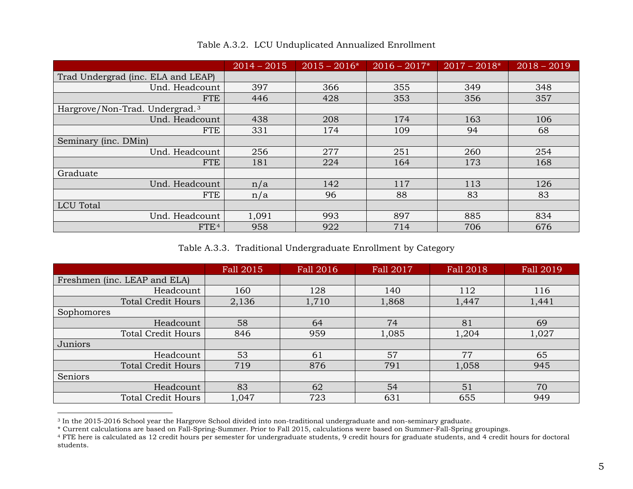<span id="page-8-0"></span>

|                                            | $2014 - 2015$ | $2015 - 2016*$ | $2016 - 2017*$ | $2017 - 2018*$ | $2018 - 2019$ |
|--------------------------------------------|---------------|----------------|----------------|----------------|---------------|
| Trad Undergrad (inc. ELA and LEAP)         |               |                |                |                |               |
| Und. Headcount                             | 397           | 366            | 355            | 349            | 348           |
| <b>FTE</b>                                 | 446           | 428            | 353            | 356            | 357           |
| Hargrove/Non-Trad. Undergrad. <sup>3</sup> |               |                |                |                |               |
| Und. Headcount                             | 438           | 208            | 174            | 163            | 106           |
| <b>FTE</b>                                 | 331           | 174            | 109            | 94             | 68            |
| Seminary (inc. DMin)                       |               |                |                |                |               |
| Und. Headcount                             | 256           | 277            | 251            | 260            | 254           |
| <b>FTE</b>                                 | 181           | 224            | 164            | 173            | 168           |
| Graduate                                   |               |                |                |                |               |
| Und. Headcount                             | n/a           | 142            | 117            | 113            | 126           |
| <b>FTE</b>                                 | n/a           | 96             | 88             | 83             | 83            |
| <b>LCU</b> Total                           |               |                |                |                |               |
| Und. Headcount                             | 1,091         | 993            | 897            | 885            | 834           |
| FTE <sup>4</sup>                           | 958           | 922            | 714            | 706            | 676           |

<span id="page-8-3"></span><span id="page-8-2"></span>Table A.3.2. LCU Unduplicated Annualized Enrollment

Table A.3.3. Traditional Undergraduate Enrollment by Category

<span id="page-8-1"></span>

|                              | Fall 2015 | Fall 2016 | Fall 2017 | Fall 2018 | Fall 2019 |
|------------------------------|-----------|-----------|-----------|-----------|-----------|
| Freshmen (inc. LEAP and ELA) |           |           |           |           |           |
| Headcount                    | 160       | 128       | 140       | 112       | 116       |
| <b>Total Credit Hours</b>    | 2,136     | 1,710     | 1,868     | 1,447     | 1,441     |
| Sophomores                   |           |           |           |           |           |
| Headcount                    | 58        | 64        | 74        | 81        | 69        |
| <b>Total Credit Hours</b>    | 846       | 959       | 1,085     | 1,204     | 1,027     |
| Juniors                      |           |           |           |           |           |
| Headcount                    | 53        | 61        | 57        | 77        | 65        |
| <b>Total Credit Hours</b>    | 719       | 876       | 791       | 1,058     | 945       |
| Seniors                      |           |           |           |           |           |
| Headcount                    | 83        | 62        | 54        | 51        | 70        |
| <b>Total Credit Hours</b>    | 1,047     | 723       | 631       | 655       | 949       |

<sup>3</sup> In the 2015-2016 School year the Hargrove School divided into non-traditional undergraduate and non-seminary graduate.

<sup>\*</sup> Current calculations are based on Fall-Spring-Summer. Prior to Fall 2015, calculations were based on Summer-Fall-Spring groupings.

<sup>4</sup> FTE here is calculated as 12 credit hours per semester for undergraduate students, 9 credit hours for graduate students, and 4 credit hours for doctoral students.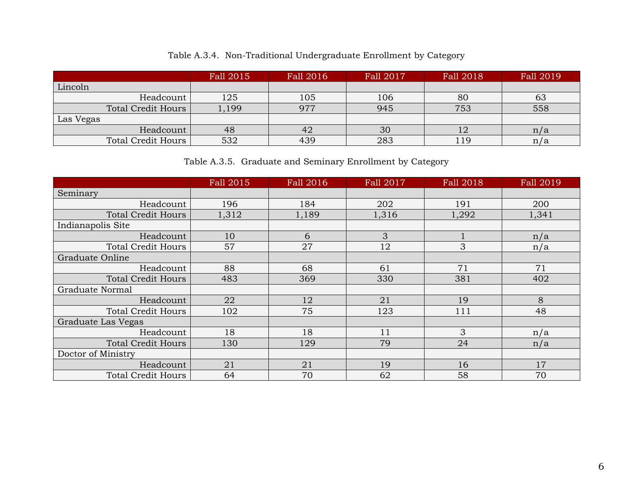|  | Table A.3.4. Non-Traditional Undergraduate Enrollment by Category |  |  |  |  |
|--|-------------------------------------------------------------------|--|--|--|--|
|--|-------------------------------------------------------------------|--|--|--|--|

<span id="page-9-0"></span>

|                           | Fall 2015 | Fall 2016 | Fall 2017 | Fall 2018 | Fall 2019 |
|---------------------------|-----------|-----------|-----------|-----------|-----------|
| Lincoln                   |           |           |           |           |           |
| Headcount                 | 125       | 105       | 106       | 80        | 63        |
| Total Credit Hours        | 1,199     | 977       | 945       | 753       | 558       |
| Las Vegas                 |           |           |           |           |           |
| Headcount                 | 48        | 42        | 30        | 12        | n/a       |
| <b>Total Credit Hours</b> | 532       | 439       | 283       | 119       | n/a       |

Table A.3.5. Graduate and Seminary Enrollment by Category

<span id="page-9-1"></span>

|                           | Fall 2015 | Fall 2016 | <b>Fall 2017</b> | <b>Fall 2018</b> | Fall 2019 |
|---------------------------|-----------|-----------|------------------|------------------|-----------|
| Seminary                  |           |           |                  |                  |           |
| Headcount                 | 196       | 184       | 202              | 191              | 200       |
| <b>Total Credit Hours</b> | 1,312     | 1,189     | 1,316            | 1,292            | 1,341     |
| Indianapolis Site         |           |           |                  |                  |           |
| Headcount                 | 10        | 6         | 3                |                  | n/a       |
| <b>Total Credit Hours</b> | 57        | 27        | 12               | 3                | n/a       |
| Graduate Online           |           |           |                  |                  |           |
| Headcount                 | 88        | 68        | 61               | 71               | 71        |
| <b>Total Credit Hours</b> | 483       | 369       | 330              | 381              | 402       |
| Graduate Normal           |           |           |                  |                  |           |
| Headcount                 | 22        | 12        | 21               | 19               | 8         |
| <b>Total Credit Hours</b> | 102       | 75        | 123              | 111              | 48        |
| Graduate Las Vegas        |           |           |                  |                  |           |
| Headcount                 | 18        | 18        | 11               | 3                | n/a       |
| <b>Total Credit Hours</b> | 130       | 129       | 79               | 24               | n/a       |
| Doctor of Ministry        |           |           |                  |                  |           |
| Headcount                 | 21        | 21        | 19               | 16               | 17        |
| <b>Total Credit Hours</b> | 64        | 70        | 62               | 58               | 70        |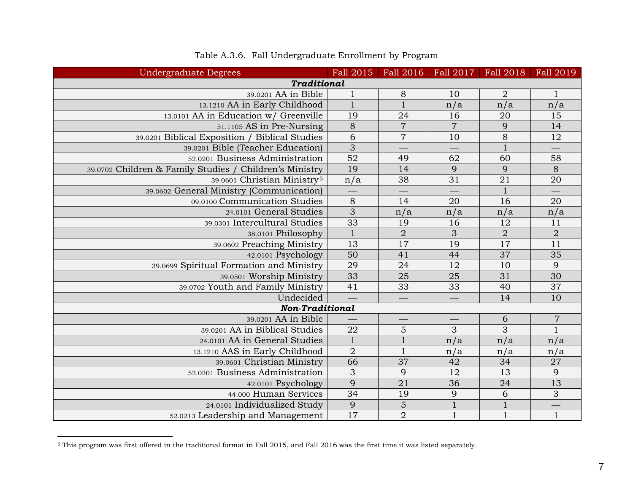<span id="page-10-0"></span>

| <b>Undergraduate Degrees</b>                            | Fall 2015       | Fall 2016       | Fall 2017       | Fall 2018       | Fall 2019        |
|---------------------------------------------------------|-----------------|-----------------|-----------------|-----------------|------------------|
| <b>Traditional</b>                                      |                 |                 |                 |                 |                  |
| 39.0201 AA in Bible                                     | $\mathbf{1}$    | 8               | 10              | $\overline{2}$  | 1                |
| 13.1210 AA in Early Childhood                           | $\mathbf{1}$    | $\mathbf{1}$    | n/a             | n/a             | n/a              |
| 13.0101 AA in Education w/ Greenville                   | 19              | 24              | 16              | 20              | 15               |
| 51.1105 AS in Pre-Nursing                               | $\overline{8}$  | $\overline{7}$  | $\overline{7}$  | 9               | 14               |
| 39.0201 Biblical Exposition / Biblical Studies          | 6               | $\sqrt{ }$      | 10              | 8               | $\overline{12}$  |
| 39.0201 Bible (Teacher Education)                       | $\overline{3}$  |                 |                 | $1\,$           |                  |
| 52.0201 Business Administration                         | $\overline{52}$ | 49              | 62              | 60              | 58               |
| 39.0702 Children & Family Studies / Children's Ministry | 19              | 14              | 9               | 9               | $\overline{8}$   |
| 39.0601 Christian Ministry <sup>5</sup>                 | n/a             | 38              | 31              | 21              | 20               |
| 39.0602 General Ministry (Communication)                |                 |                 |                 | $\mathbf{1}$    |                  |
| 09.0100 Communication Studies                           | $8\phantom{1}$  | 14              | 20              | 16              | 20               |
| 24.0101 General Studies                                 | $\overline{3}$  | n/a             | n/a             | n/a             | n/a              |
| 39.0301 Intercultural Studies                           | 33              | 19              | 16              | 12              | 11               |
| 38.0101 Philosophy                                      | $\mathbf{1}$    | $\overline{2}$  | 3               | $\overline{2}$  | $\overline{2}$   |
| 39.0602 Preaching Ministry                              | 13              | 17              | 19              | 17              | $\overline{11}$  |
| 42.0101 Psychology                                      | $\overline{50}$ | 41              | 44              | $\overline{37}$ | 35               |
| 39.0699 Spiritual Formation and Ministry                | 29              | 24              | 12              | 10              | $\overline{9}$   |
| 39.0501 Worship Ministry                                | 33              | 25              | 25              | 31              | 30               |
| 39.0702 Youth and Family Ministry                       | $\overline{41}$ | $\overline{33}$ | $\overline{33}$ | $\overline{40}$ | $\overline{37}$  |
| Undecided                                               |                 |                 |                 | 14              | 10               |
| <b>Non-Traditional</b>                                  |                 |                 |                 |                 |                  |
| 39.0201 AA in Bible                                     |                 |                 |                 | $\sqrt{6}$      | $\boldsymbol{7}$ |
| 39.0201 AA in Biblical Studies                          | 22              | $\overline{5}$  | $\overline{3}$  | $\overline{3}$  | $\mathbf{1}$     |
| 24.0101 AA in General Studies                           | $\overline{1}$  | $\mathbf{1}$    | n/a             | n/a             | n/a              |
| 13.1210 AAS in Early Childhood                          | $\overline{2}$  | $\mathbf{1}$    | n/a             | n/a             | n/a              |
| 39.0601 Christian Ministry                              | 66              | 37              | 42              | 34              | $\overline{27}$  |
| 52.0201 Business Administration                         | $\overline{3}$  | 9               | 12              | 13              | $\overline{9}$   |
| 42.0101 Psychology                                      | 9               | $\overline{21}$ | 36              | $24\,$          | $\overline{13}$  |
| 44.000 Human Services                                   | 34              | 19              | 9               | $\sqrt{6}$      | $\overline{3}$   |
| 24.0101 Individualized Study                            | 9               | $\overline{5}$  | $\mathbf{1}$    | $\,1\,$         |                  |
| 52.0213 Leadership and Management                       | 17              | $\overline{2}$  | $\mathbf{1}$    | $\mathbf 1$     | $\mathbf{1}$     |

### <span id="page-10-1"></span>Table A.3.6. Fall Undergraduate Enrollment by Program

 $^5$  This program was first offered in the traditional format in Fall 2015, and Fall 2016 was the first time it was listed separately.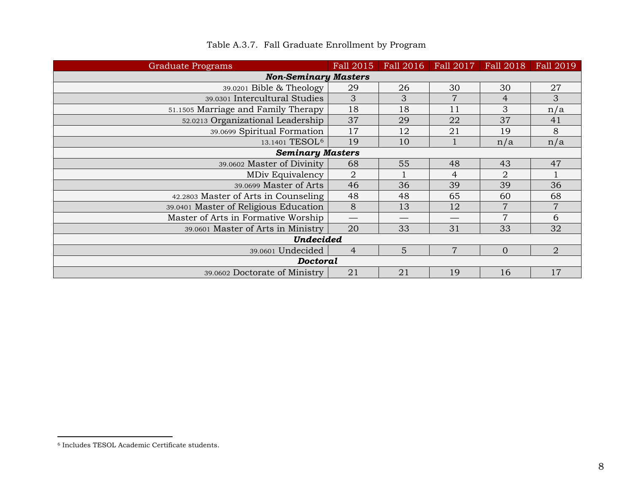<span id="page-11-0"></span>

| Graduate Programs                     | Fall 2015      | Fall 2016 | Fall 2017      | Fall 2018      | Fall 2019      |  |  |  |  |
|---------------------------------------|----------------|-----------|----------------|----------------|----------------|--|--|--|--|
| <b>Non-Seminary Masters</b>           |                |           |                |                |                |  |  |  |  |
| 39.0201 Bible & Theology              | 29             | 26        | 30             | 30             | 27             |  |  |  |  |
| 39.0301 Intercultural Studies         | 3              | 3         | $\overline{7}$ | 4              | 3              |  |  |  |  |
| 51.1505 Marriage and Family Therapy   | 18             | 18        | 11             | 3              | n/a            |  |  |  |  |
| 52.0213 Organizational Leadership     | 37             | 29        | 22             | 37             | 41             |  |  |  |  |
| 39.0699 Spiritual Formation           | 17             | 12        | 21             | 19             | 8              |  |  |  |  |
| 13.1401 TESOL <sup>6</sup>            | 19             | 10        |                | n/a            | n/a            |  |  |  |  |
| <b>Seminary Masters</b>               |                |           |                |                |                |  |  |  |  |
| 39.0602 Master of Divinity            | 68             | 55        | 48             | 43             | 47             |  |  |  |  |
| MDiv Equivalency                      | 2              |           | 4              | 2              |                |  |  |  |  |
| 39.0699 Master of Arts                | 46             | 36        | 39             | 39             | 36             |  |  |  |  |
| 42.2803 Master of Arts in Counseling  | 48             | 48        | 65             | 60             | 68             |  |  |  |  |
| 39.0401 Master of Religious Education | $8\phantom{1}$ | 13        | 12             | $\overline{7}$ | 7              |  |  |  |  |
| Master of Arts in Formative Worship   |                |           |                | $\overline{7}$ | 6              |  |  |  |  |
| 39.0601 Master of Arts in Ministry    | 20             | 33        | 31             | 33             | 32             |  |  |  |  |
| <b>Undecided</b>                      |                |           |                |                |                |  |  |  |  |
| 39.0601 Undecided                     | $\overline{4}$ | 5         | 7              | $\mathbf{0}$   | $\overline{2}$ |  |  |  |  |
| Doctoral                              |                |           |                |                |                |  |  |  |  |
| 39.0602 Doctorate of Ministry         | 21             | 21        | 19             | 16             | 17             |  |  |  |  |

### <span id="page-11-1"></span>Table A.3.7. Fall Graduate Enrollment by Program

<sup>6</sup> Includes TESOL Academic Certificate students.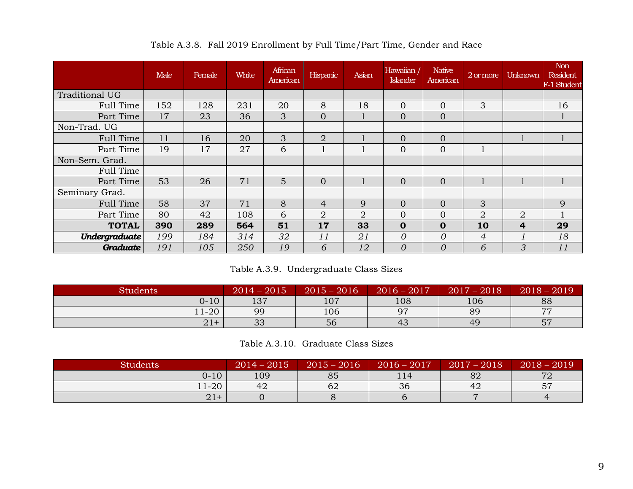<span id="page-12-0"></span>

|                      | Male | Female | White | African<br>American | Hispanic       | Asian          | Hawaiian<br><b>Islander</b> | <b>Native</b><br>American | 2 or more      | Unknown | <b>Non</b><br><b>Resident</b><br>F-1 Student |
|----------------------|------|--------|-------|---------------------|----------------|----------------|-----------------------------|---------------------------|----------------|---------|----------------------------------------------|
| Traditional UG       |      |        |       |                     |                |                |                             |                           |                |         |                                              |
| Full Time            | 152  | 128    | 231   | 20                  | 8              | 18             | $\overline{0}$              | $\overline{0}$            | 3              |         | 16                                           |
| Part Time            | 17   | 23     | 36    | 3                   | $\overline{0}$ |                | $\overline{0}$              | $\Omega$                  |                |         |                                              |
| Non-Trad. UG         |      |        |       |                     |                |                |                             |                           |                |         |                                              |
| Full Time            | 11   | 16     | 20    | 3                   | $\overline{2}$ |                | $\overline{0}$              | $\overline{0}$            |                |         |                                              |
| Part Time            | 19   | 17     | 27    | 6                   |                |                | $\overline{0}$              | $\overline{0}$            |                |         |                                              |
| Non-Sem. Grad.       |      |        |       |                     |                |                |                             |                           |                |         |                                              |
| Full Time            |      |        |       |                     |                |                |                             |                           |                |         |                                              |
| Part Time            | 53   | 26     | 71    | 5                   | $\overline{0}$ |                | $\overline{0}$              | $\Omega$                  |                |         |                                              |
| Seminary Grad.       |      |        |       |                     |                |                |                             |                           |                |         |                                              |
| Full Time            | 58   | 37     | 71    | 8                   | 4              | 9              | $\overline{0}$              | $\Omega$                  | 3              |         | 9                                            |
| Part Time            | 80   | 42     | 108   | 6                   | $\overline{2}$ | $\overline{2}$ | $\overline{0}$              | $\Omega$                  | 2              | 2       |                                              |
| <b>TOTAL</b>         | 390  | 289    | 564   | 51                  | 17             | 33             | $\mathbf 0$                 | $\mathbf 0$               | 10             | 4       | 29                                           |
| <b>Undergraduate</b> | 199  | 184    | 314   | 32                  | 11             | 21             | $\theta$                    | $\Omega$                  | $\overline{4}$ |         | 18                                           |
| Graduate             | 191  | 105    | 250   | 19                  | 6              | 12             | $\overline{O}$              | $\Omega$                  | 6              | 3       | 11                                           |

Table A.3.8. Fall 2019 Enrollment by Full Time/Part Time, Gender and Race

Table A.3.9. Undergraduate Class Sizes

<span id="page-12-1"></span>

| <b>Students</b> | $2014 - 2015$  | $2015 - 2016$ | $2016 - 2017$ | $2017 - 2018$ | $-2019$<br>$2018 -$ |
|-----------------|----------------|---------------|---------------|---------------|---------------------|
| $0 - 10$        | 127<br>ا ت 1   | 107           | 108           | 106           | 88                  |
| $1-20$          | 99             | 106           | 07            | 89            | H                   |
| $21+$           | $\cap$<br>- Ju | 56            | 43            | 49            | 57                  |

Table A.3.10. Graduate Class Sizes

<span id="page-12-2"></span>

| <b>Students</b> | 2015<br>$ 2014 -$ | 2016<br>$ 2015-$ | 2017<br>$2016 -$ | $2017 -$<br>2018<br>$\overline{\phantom{a}}$ | $2018 -$<br>2019 |
|-----------------|-------------------|------------------|------------------|----------------------------------------------|------------------|
| $0 - 10$        | 109               | 85               | 114              | 82                                           | 70               |
| $11-20$         | 42                | 62               | 36               | 42                                           | 57               |
| $21+$           |                   |                  |                  |                                              |                  |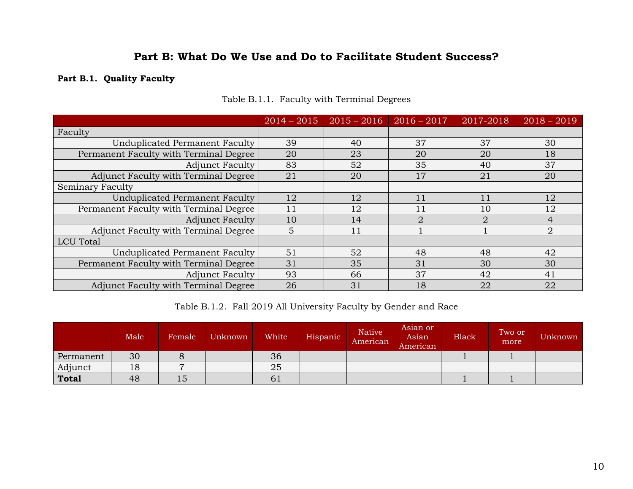### **Part B: What Do We Use and Do to Facilitate Student Success?**

### <span id="page-13-1"></span><span id="page-13-0"></span>**Part B.1. Quality Faculty**

<span id="page-13-2"></span>

|                                        | $2014 - 2015$ | $2015 - 2016$ | $2016 - 2017$  | 2017-2018             | $2018 - 2019$  |
|----------------------------------------|---------------|---------------|----------------|-----------------------|----------------|
| Faculty                                |               |               |                |                       |                |
| Unduplicated Permanent Faculty         | 39            | 40            | 37             | 37                    | 30             |
| Permanent Faculty with Terminal Degree | 20            | 23            | 20             | 20                    | 18             |
| <b>Adjunct Faculty</b>                 | 83            | 52            | 35             | 40                    | 37             |
| Adjunct Faculty with Terminal Degree   | 21            | 20            | 17             | 21                    | 20             |
| Seminary Faculty                       |               |               |                |                       |                |
| Unduplicated Permanent Faculty         | 12            | 12            | 11             | 11                    | 12             |
| Permanent Faculty with Terminal Degree | 11            | 12            | 11             | 10                    | 12             |
| <b>Adjunct Faculty</b>                 | 10            | 14            | $\overline{2}$ | $\mathcal{D}_{\cdot}$ | $\overline{4}$ |
| Adjunct Faculty with Terminal Degree   | 5             | 11            |                |                       | $\overline{2}$ |
| LCU Total                              |               |               |                |                       |                |
| Unduplicated Permanent Faculty         | 51            | 52            | 48             | 48                    | 42             |
| Permanent Faculty with Terminal Degree | 31            | 35            | 31             | 30                    | 30             |
| <b>Adjunct Faculty</b>                 | 93            | 66            | 37             | 42                    | 41             |
| Adjunct Faculty with Terminal Degree   | 26            | 31            | 18             | 22                    | 22             |

Table B.1.1. Faculty with Terminal Degrees

Table B.1.2. Fall 2019 All University Faculty by Gender and Race

<span id="page-13-3"></span>

|              | Male | Female | Unknown | White | Hispanic | <b>Native</b><br>American | Asian or<br>Asian<br>American | <b>Black</b> | Two or<br>more | Unknown |
|--------------|------|--------|---------|-------|----------|---------------------------|-------------------------------|--------------|----------------|---------|
| Permanent    | 30   |        |         | 36    |          |                           |                               |              |                |         |
| Adjunct      | 18   |        |         | 25    |          |                           |                               |              |                |         |
| <b>Total</b> | 48   | 15     |         | 01    |          |                           |                               |              |                |         |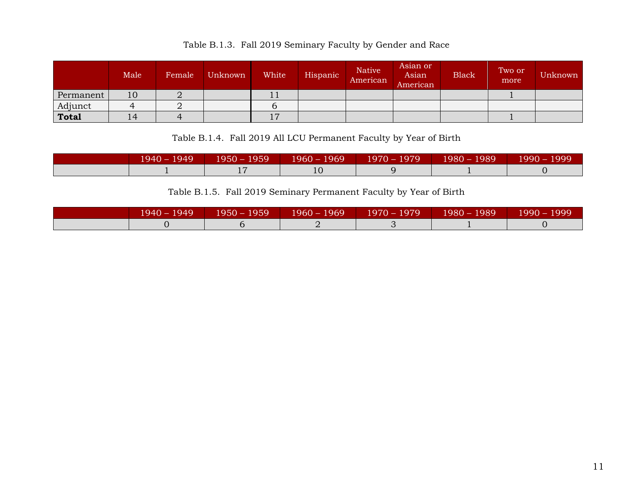<span id="page-14-0"></span>

|              | Male | Female | Unknown | White    | Hispanic | <b>Native</b><br>American | Asian or<br>Asian<br>American | <b>Black</b> | Two or<br>more | Unknown |
|--------------|------|--------|---------|----------|----------|---------------------------|-------------------------------|--------------|----------------|---------|
| Permanent    | 10   | ◢      |         | 11       |          |                           |                               |              |                |         |
| Adjunct      |      |        |         |          |          |                           |                               |              |                |         |
| <b>Total</b> | 14   |        |         | <b>1</b> |          |                           |                               |              |                |         |

Table B.1.4. Fall 2019 All LCU Permanent Faculty by Year of Birth

<span id="page-14-1"></span>

|  |    | 1940 – 1949          1950 – 1959          1960 – 1969          1970 – 1979          1980 – 1989  ' | $1990 - 1999$ |
|--|----|----------------------------------------------------------------------------------------------------|---------------|
|  | 10 |                                                                                                    |               |

Table B.1.5. Fall 2019 Seminary Permanent Faculty by Year of Birth

<span id="page-14-2"></span>

| $1940 - 1949$ | $1950 - 1959$ | $1960 - 1969$ 1970 – 1979 | $1980 - 1989$ | ، 1999 – 1999 |
|---------------|---------------|---------------------------|---------------|---------------|
|               |               |                           |               |               |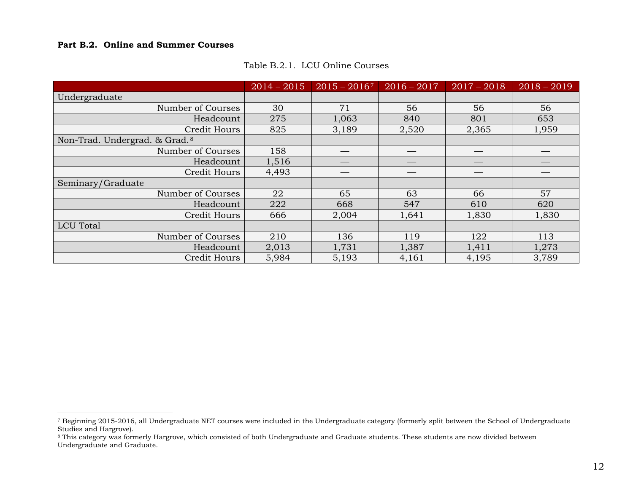#### <span id="page-15-0"></span>**Part B.2. Online and Summer Courses**

 $\overline{a}$ 

<span id="page-15-1"></span>

|                                           | $2014 - 2015$ | $2015 - 20167$ | $2016 - 2017$ | $2017 - 2018$ | $2018 - 2019$ |
|-------------------------------------------|---------------|----------------|---------------|---------------|---------------|
| Undergraduate                             |               |                |               |               |               |
| Number of Courses                         | 30            | 71             | 56            | 56            | 56            |
| Headcount                                 | 275           | 1,063          | 840           | 801           | 653           |
| Credit Hours                              | 825           | 3,189          | 2,520         | 2,365         | 1,959         |
| Non-Trad. Undergrad. & Grad. <sup>8</sup> |               |                |               |               |               |
| Number of Courses                         | 158           |                |               |               |               |
| Headcount                                 | 1,516         |                |               |               |               |
| Credit Hours                              | 4,493         |                |               |               |               |
| Seminary/Graduate                         |               |                |               |               |               |
| Number of Courses                         | 22            | 65             | 63            | 66            | 57            |
| Headcount                                 | 222           | 668            | 547           | 610           | 620           |
| Credit Hours                              | 666           | 2,004          | 1,641         | 1,830         | 1,830         |
| <b>LCU</b> Total                          |               |                |               |               |               |
| Number of Courses                         | 210           | 136            | 119           | 122           | 113           |
| Headcount                                 | 2,013         | 1,731          | 1,387         | 1,411         | 1,273         |
| Credit Hours                              | 5,984         | 5,193          | 4,161         | 4,195         | 3,789         |

#### <span id="page-15-3"></span><span id="page-15-2"></span>Table B.2.1. LCU Online Courses

<sup>7</sup> Beginning 2015-2016, all Undergraduate NET courses were included in the Undergraduate category (formerly split between the School of Undergraduate Studies and Hargrove).

<sup>&</sup>lt;sup>8</sup> This category was formerly Hargrove, which consisted of both Undergraduate and Graduate students. These students are now divided between Undergraduate and Graduate.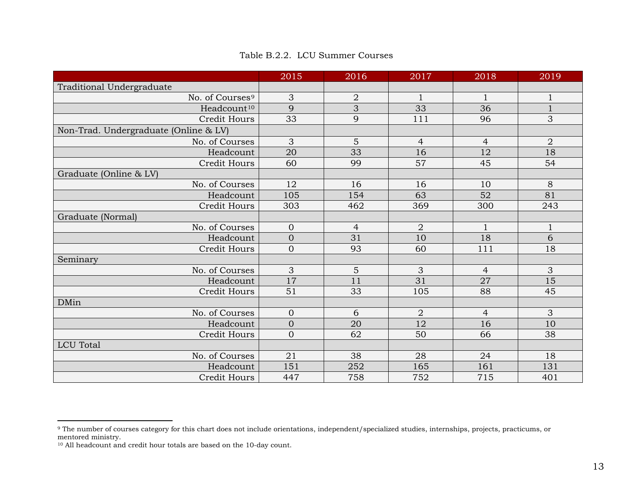<span id="page-16-0"></span>

|                                       | 2015             | 2016           | 2017            | 2018           | 2019           |
|---------------------------------------|------------------|----------------|-----------------|----------------|----------------|
| Traditional Undergraduate             |                  |                |                 |                |                |
| No. of Courses <sup>9</sup>           | 3                | $\overline{2}$ | $\mathbf{1}$    | $\mathbf{1}$   | $\mathbf{1}$   |
| Headcount <sup>10</sup>               | 9                | 3              | 33              | 36             | $1\,$          |
| <b>Credit Hours</b>                   | $\overline{33}$  | 9              | 111             | 96             | 3              |
| Non-Trad. Undergraduate (Online & LV) |                  |                |                 |                |                |
| No. of Courses                        | 3                | 5              | $\overline{4}$  | $\overline{4}$ | $\overline{2}$ |
| Headcount                             | $\overline{20}$  | 33             | 16              | 12             | 18             |
| <b>Credit Hours</b>                   | 60               | 99             | $\overline{57}$ | 45             | 54             |
| Graduate (Online & LV)                |                  |                |                 |                |                |
| No. of Courses                        | 12               | 16             | 16              | 10             | 8              |
| Headcount                             | 105              | 154            | 63              | 52             | 81             |
| Credit Hours                          | 303              | 462            | 369             | 300            | 243            |
| Graduate (Normal)                     |                  |                |                 |                |                |
| No. of Courses                        | $\overline{0}$   | $\overline{4}$ | $\overline{2}$  | $\mathbf{1}$   | $\mathbf{1}$   |
| Headcount                             | $\mathbf{0}$     | 31             | $10\,$          | 18             | $\overline{6}$ |
| Credit Hours                          | $\overline{0}$   | 93             | 60              | 111            | 18             |
| Seminary                              |                  |                |                 |                |                |
| No. of Courses                        | 3                | 5              | 3               | $\overline{4}$ | 3              |
| Headcount                             | 17               | 11             | $\overline{31}$ | 27             | 15             |
| <b>Credit Hours</b>                   | 51               | 33             | 105             | 88             | 45             |
| <b>DMin</b>                           |                  |                |                 |                |                |
| No. of Courses                        | $\boldsymbol{0}$ | 6              | $\overline{2}$  | $\overline{4}$ | 3              |
| Headcount                             | $\overline{0}$   | 20             | $\overline{12}$ | 16             | 10             |
| Credit Hours                          | $\overline{0}$   | 62             | 50              | 66             | 38             |
| <b>LCU</b> Total                      |                  |                |                 |                |                |
| No. of Courses                        | 21               | 38             | 28              | 24             | 18             |
| Headcount                             | 151              | 252            | 165             | 161            | 131            |
| Credit Hours                          | 447              | 758            | 752             | 715            | 401            |

<span id="page-16-2"></span><span id="page-16-1"></span>Table B.2.2. LCU Summer Courses

 $\overline{\phantom{a}}$ 

<sup>&</sup>lt;sup>9</sup> The number of courses category for this chart does not include orientations, independent/specialized studies, internships, projects, practicums, or mentored ministry.

<sup>10</sup> All headcount and credit hour totals are based on the 10-day count.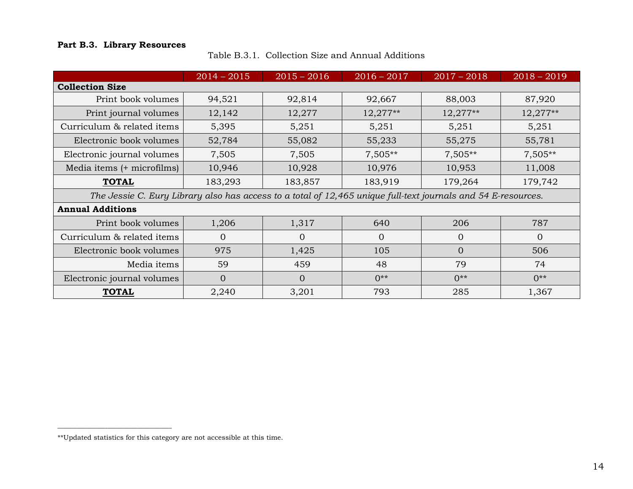### <span id="page-17-1"></span><span id="page-17-0"></span>**Part B.3. Library Resources**

|  | Table B.3.1. Collection Size and Annual Additions |  |
|--|---------------------------------------------------|--|
|--|---------------------------------------------------|--|

|                                                                                                               | $2014 - 2015$  | $2015 - 2016$ | $2016 - 2017$ | $2017 - 2018$  | $2018 - 2019$ |
|---------------------------------------------------------------------------------------------------------------|----------------|---------------|---------------|----------------|---------------|
| <b>Collection Size</b>                                                                                        |                |               |               |                |               |
| Print book volumes                                                                                            | 94,521         | 92,814        | 92,667        | 88,003         | 87,920        |
| Print journal volumes                                                                                         | 12,142         | 12,277        | $12,277**$    | $12,277**$     | $12,277**$    |
| Curriculum & related items                                                                                    | 5,395          | 5,251         | 5,251         | 5,251          | 5,251         |
| Electronic book volumes                                                                                       | 52,784         | 55,082        | 55,233        | 55,275         | 55,781        |
| Electronic journal volumes                                                                                    | 7,505          | 7,505         | $7,505**$     | $7,505**$      | $7,505**$     |
| Media items (+ microfilms)                                                                                    | 10,946         | 10,928        | 10,976        | 10,953         | 11,008        |
| <b>TOTAL</b>                                                                                                  | 183,293        | 183,857       | 183,919       | 179,264        | 179,742       |
| The Jessie C. Eury Library also has access to a total of 12,465 unique full-text journals and 54 E-resources. |                |               |               |                |               |
| <b>Annual Additions</b>                                                                                       |                |               |               |                |               |
| Print book volumes                                                                                            | 1,206          | 1,317         | 640           | 206            | 787           |
| Curriculum & related items                                                                                    | $\Omega$       | $\Omega$      | $\Omega$      | $\overline{0}$ | $\Omega$      |
| Electronic book volumes                                                                                       | 975            | 1,425         | 105           | $\Omega$       | 506           |
| Media items                                                                                                   | 59             | 459           | 48            | 79             | 74            |
| Electronic journal volumes                                                                                    | $\overline{0}$ | $\Omega$      | $0**$         | $0**$          | $0**$         |
| <b>TOTAL</b>                                                                                                  | 2,240          | 3,201         | 793           | 285            | 1,367         |

 $\overline{\phantom{a}}$  , and the set of the set of the set of the set of the set of the set of the set of the set of the set of the set of the set of the set of the set of the set of the set of the set of the set of the set of the s

<sup>\*\*</sup>Updated statistics for this category are not accessible at this time.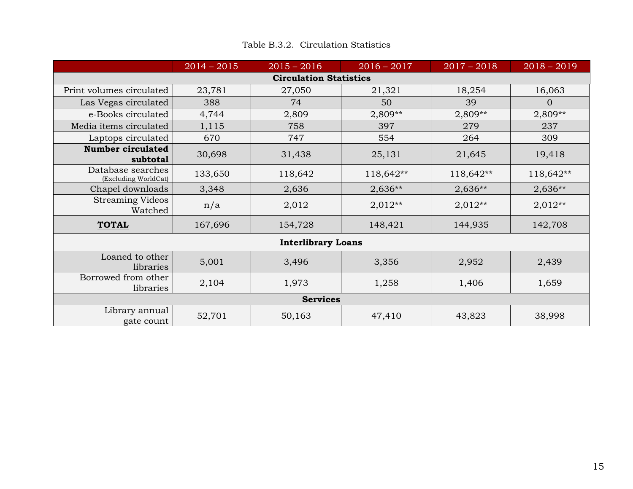<span id="page-18-0"></span>

|                                           | $2014 - 2015$ | $2015 - 2016$                 | $2016 - 2017$ | $2017 - 2018$ | $2018 - 2019$  |
|-------------------------------------------|---------------|-------------------------------|---------------|---------------|----------------|
|                                           |               | <b>Circulation Statistics</b> |               |               |                |
| Print volumes circulated                  | 23,781        | 27,050                        | 21,321        | 18,254        | 16,063         |
| Las Vegas circulated                      | 388           | 74                            | 50            | 39            | $\overline{0}$ |
| e-Books circulated                        | 4,744         | 2,809                         | $2,809**$     | 2,809**       | 2,809**        |
| Media items circulated                    | 1,115         | 758                           | 397           | 279           | 237            |
| Laptops circulated                        | 670           | 747                           | 554           | 264           | 309            |
| <b>Number circulated</b><br>subtotal      | 30,698        | 31,438                        | 25,131        | 21,645        | 19,418         |
| Database searches<br>(Excluding WorldCat) | 133,650       | 118,642                       | 118,642**     | 118,642**     | 118,642**      |
| Chapel downloads                          | 3,348         | 2,636                         | $2,636**$     | $2,636**$     | $2,636**$      |
| <b>Streaming Videos</b><br>Watched        | n/a           | 2,012                         | $2,012**$     | $2,012**$     | $2,012**$      |
| <b>TOTAL</b>                              | 167,696       | 154,728                       | 148,421       | 144,935       | 142,708        |
|                                           |               | <b>Interlibrary Loans</b>     |               |               |                |
| Loaned to other<br>libraries              | 5,001         | 3,496                         | 3,356         | 2,952         | 2,439          |
| Borrowed from other<br>libraries          | 2,104         | 1,973                         | 1,258         | 1,406         | 1,659          |
|                                           |               | <b>Services</b>               |               |               |                |
| Library annual<br>gate count              | 52,701        | 50,163                        | 47,410        | 43,823        | 38,998         |

### Table B.3.2. Circulation Statistics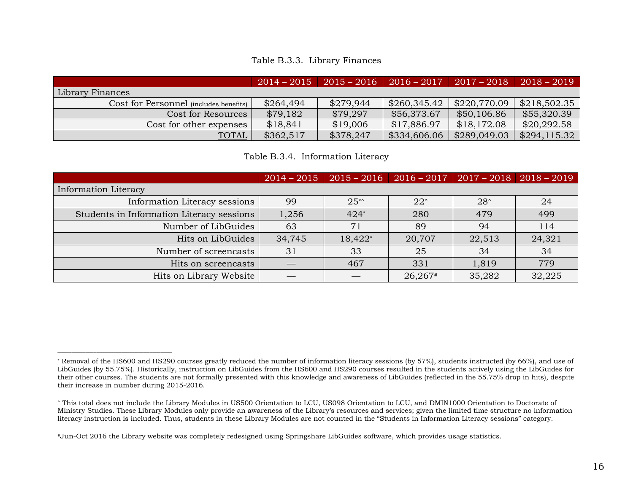#### Table B.3.3. Library Finances

<span id="page-19-0"></span>

|                                        | $2014 - 2015$ |           | $\mid$ 2015 – 2016 $\mid$ 2016 – 2017 $\mid$ 2017 – 2018 |              | $2018 - 2019$ |
|----------------------------------------|---------------|-----------|----------------------------------------------------------|--------------|---------------|
| Library Finances                       |               |           |                                                          |              |               |
| Cost for Personnel (includes benefits) | \$264,494     | \$279,944 | $\frac{$260,345.42}{}$                                   | \$220,770.09 | \$218,502.35  |
| Cost for Resources                     | \$79,182      | \$79,297  | \$56,373.67                                              | \$50,106.86  | \$55,320.39   |
| Cost for other expenses                | \$18,841      | \$19,006  | \$17,886.97                                              | \$18,172.08  | \$20,292.58   |
| <b>TOTAL</b>                           | \$362,517     | \$378,247 | \$334,606.06                                             | \$289,049.03 | \$294,115.32  |

Table B.3.4. Information Literacy

<span id="page-19-1"></span>

|                                           |        | $2014 - 2015$   2015 - 2016   2016 - 2017   2017 - 2018   2018 - 2019 |              |               |        |
|-------------------------------------------|--------|-----------------------------------------------------------------------|--------------|---------------|--------|
| Information Literacy                      |        |                                                                       |              |               |        |
| Information Literacy sessions             | 99     | $25**$                                                                | $22^{\circ}$ | $28^{\wedge}$ | 24     |
| Students in Information Literacy sessions | 1,256  | $424*$                                                                | 280          | 479           | 499    |
| Number of LibGuides                       | 63     | 71                                                                    | 89           | 94            | 114    |
| Hits on LibGuides                         | 34,745 | 18,422*                                                               | 20,707       | 22,513        | 24,321 |
| Number of screencasts                     | 31     | 33                                                                    | 25           | 34            | 34     |
| Hits on screencasts                       |        | 467                                                                   | 331          | 1,819         | 779    |
| Hits on Library Website                   |        |                                                                       | 26,267#      | 35,282        | 32,225 |

 $\overline{\phantom{a}}$  , and the set of the set of the set of the set of the set of the set of the set of the set of the set of the set of the set of the set of the set of the set of the set of the set of the set of the set of the s

<sup>\*</sup> Removal of the HS600 and HS290 courses greatly reduced the number of information literacy sessions (by 57%), students instructed (by 66%), and use of LibGuides (by 55.75%). Historically, instruction on LibGuides from the HS600 and HS290 courses resulted in the students actively using the LibGuides for their other courses. The students are not formally presented with this knowledge and awareness of LibGuides (reflected in the 55.75% drop in hits), despite their increase in number during 2015-2016.

<sup>^</sup> This total does not include the Library Modules in US500 Orientation to LCU, US098 Orientation to LCU, and DMIN1000 Orientation to Doctorate of Ministry Studies. These Library Modules only provide an awareness of the Library's resources and services; given the limited time structure no information literacy instruction is included. Thus, students in these Library Modules are not counted in the "Students in Information Literacy sessions" category.

<sup>#</sup>Jun-Oct 2016 the Library website was completely redesigned using Springshare LibGuides software, which provides usage statistics.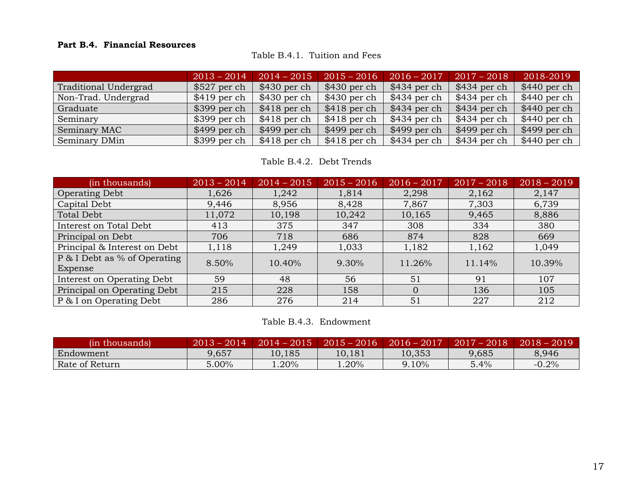### <span id="page-20-1"></span><span id="page-20-0"></span>**Part B.4. Financial Resources**

Table B.4.1. Tuition and Fees

|                       | $2013 - 2014$ | $2014 - 2015$ | $2015 - 2016$ | $2016 - 2017$ | $2017 - 2018$ | 2018-2019     |
|-----------------------|---------------|---------------|---------------|---------------|---------------|---------------|
| Traditional Undergrad | $$527$ per ch | $$430$ per ch | $$430$ per ch | $$434$ per ch | $$434$ per ch | $$440$ per ch |
| Non-Trad. Undergrad   | $$419$ per ch | \$430 per ch  | $$430$ per ch | $$434$ per ch | \$434 per ch  | $$440$ per ch |
| Graduate              | $$399$ per ch | $$418$ per ch | $$418$ per ch | $$434$ per ch | $$434$ per ch | $$440$ per ch |
| Seminary              | $$399$ per ch | $$418$ per ch | $$418$ per ch | $$434$ per ch | \$434 per ch  | $$440$ per ch |
| Seminary MAC          | $$499$ per ch | $$499$ per ch | $$499$ per ch | $$499$ per ch | $$499$ per ch | $$499$ per ch |
| Seminary DMin         | $$399$ per ch | $$418$ per ch | $$418$ per ch | $$434$ per ch | \$434 per ch  | $$440$ per ch |

Table B.4.2. Debt Trends

<span id="page-20-2"></span>

| (in thousands)                          | $2013 - 2014$ | $2014 - 2015$ | $2015 - 2016$ | $2016 - 2017$ | $2017 - 2018$ | $2018 - 2019$ |
|-----------------------------------------|---------------|---------------|---------------|---------------|---------------|---------------|
| <b>Operating Debt</b>                   | 1,626         | 1,242         | 1,814         | 2,298         | 2,162         | 2,147         |
| Capital Debt                            | 9,446         | 8,956         | 8,428         | 7,867         | 7,303         | 6,739         |
| Total Debt                              | 11,072        | 10,198        | 10,242        | 10,165        | 9,465         | 8,886         |
| Interest on Total Debt                  | 413           | 375           | 347           | 308           | 334           | 380           |
| Principal on Debt                       | 706           | 718           | 686           | 874           | 828           | 669           |
| Principal & Interest on Debt            | 1,118         | 1,249         | 1,033         | 1,182         | 1,162         | 1,049         |
| P & I Debt as % of Operating<br>Expense | 8.50%         | 10.40%        | 9.30%         | 11.26%        | 11.14%        | 10.39%        |
| Interest on Operating Debt              | 59            | 48            | 56            | 51            | 91            | 107           |
| Principal on Operating Debt             | 215           | 228           | 158           | $\Omega$      | 136           | 105           |
| P & I on Operating Debt                 | 286           | 276           | 214           | 51            | 227           | 212           |

Table B.4.3. Endowment

<span id="page-20-3"></span>

| (in thousands) | $2013 - 2014$ | $2014 - 2015$ |          | $2015 - 2016$   2016 - 2017   2017 - 2018 |       | $2018 - 2019$ |
|----------------|---------------|---------------|----------|-------------------------------------------|-------|---------------|
| Endowment      | 9,657         | 10,185        | 10,181   | 10,353                                    | 9,685 | 8.946         |
| Rate of Return | 5.00%         | $1.20\%$      | $1.20\%$ | 9.10%                                     | 5.4%  | $-0.2%$       |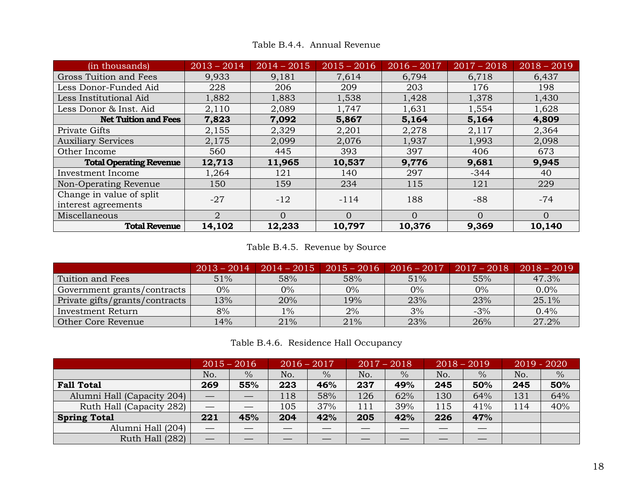<span id="page-21-0"></span>

| (in thousands)                                  | $2013 - 2014$               | $2014 - 2015$ | $2015 - 2016$ | $2016 - 2017$ | $2017 - 2018$ | $2018 - 2019$ |
|-------------------------------------------------|-----------------------------|---------------|---------------|---------------|---------------|---------------|
| Gross Tuition and Fees                          | 9,933                       | 9,181         | 7,614         | 6,794         | 6,718         | 6,437         |
| Less Donor-Funded Aid                           | 228                         | 206           | 209           | 203           | 176           | 198           |
| Less Institutional Aid                          | 1,882                       | 1,883         | 1,538         | 1,428         | 1,378         | 1,430         |
| Less Donor & Inst. Aid                          | 2,110                       | 2,089         | 1,747         | 1,631         | 1,554         | 1,628         |
| <b>Net Tuition and Fees</b>                     | 7,823                       | 7,092         | 5,867         | 5,164         | 5,164         | 4,809         |
| Private Gifts                                   | 2,155                       | 2,329         | 2,201         | 2,278         | 2,117         | 2,364         |
| <b>Auxiliary Services</b>                       | 2,175                       | 2,099         | 2,076         | 1,937         | 1,993         | 2,098         |
| Other Income                                    | 560                         | 445           | 393           | 397           | 406           | 673           |
| <b>Total Operating Revenue</b>                  | 12,713                      | 11,965        | 10,537        | 9,776         | 9,681         | 9,945         |
| Investment Income                               | 1,264                       | 121           | 140           | 297           | $-344$        | 40            |
| Non-Operating Revenue                           | 150                         | 159           | 234           | 115           | 121           | 229           |
| Change in value of split<br>interest agreements | $-27$                       | $-12$         | $-114$        | 188           | $-88$         | $-74$         |
| Miscellaneous                                   | $\mathcal{D}_{\mathcal{L}}$ | $\Omega$      | $\Omega$      | $\Omega$      | $\Omega$      | $\Omega$      |
| <b>Total Revenue</b>                            | 14,102                      | 12,233        | 10,797        | 10,376        | 9,369         | 10,140        |

Table B.4.4. Annual Revenue

### Table B.4.5. Revenue by Source

<span id="page-21-1"></span>

|                                | $2013 - 2014$ | $2014 - 2015$ |     | $2015 - 2016$   $2016 - 2017$   $2017 - 2018$ |       | $2018 - 2019$ |
|--------------------------------|---------------|---------------|-----|-----------------------------------------------|-------|---------------|
| Tuition and Fees               | 51%           | 58%           | 58% | 51%                                           | 55%   | 47.3%         |
| Government grants/contracts    | $0\%$         | $0\%$         | 0%  | $0\%$                                         | $0\%$ | $0.0\%$       |
| Private gifts/grants/contracts | 13%           | 20%           | 19% | 23%                                           | 23%   | 25.1%         |
| Investment Return              | 8%            | $1\%$         | 2%  | 3%                                            | $-3%$ | 0.4%          |
| Other Core Revenue             | 14%           | 21%           | 21% | 23%                                           | 26%   | 27.2%         |

| Table B.4.6.Residence Hall Occupancy |  |  |  |
|--------------------------------------|--|--|--|
|--------------------------------------|--|--|--|

<span id="page-21-2"></span>

|                            |     | $2015 - 2016$ | $2016 - 2017$ |               |     | $2017 - 2018$ |     | $2018 - 2019$ |     | $2019 - 2020$ |
|----------------------------|-----|---------------|---------------|---------------|-----|---------------|-----|---------------|-----|---------------|
|                            | No. | $\frac{0}{0}$ | No.           | $\frac{0}{0}$ | No. | $\frac{0}{0}$ | No. | $\%$          | No. | $\%$          |
| <b>Fall Total</b>          | 269 | 55%           | 223           | 46%           | 237 | 49%           | 245 | 50%           | 245 | 50%           |
| Alumni Hall (Capacity 204) |     |               | 118           | 58%           | 126 | 62%           | 130 | 64%           | 131 | 64%           |
| Ruth Hall (Capacity 282)   |     |               | 105           | 37%           | 111 | 39%           | 115 | 41%           | 114 | 40%           |
| <b>Spring Total</b>        | 221 | 45%           | 204           | 42%           | 205 | 42%           | 226 | 47%           |     |               |
| Alumni Hall (204)          |     |               |               |               |     |               |     |               |     |               |
| Ruth Hall (282)            |     |               |               |               |     |               |     |               |     |               |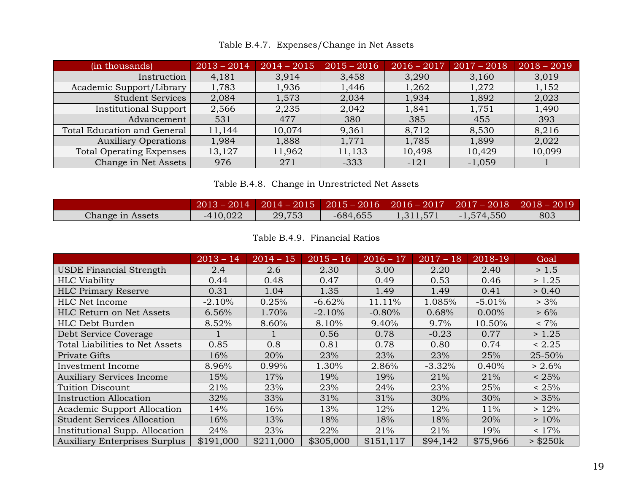<span id="page-22-0"></span>

| (in thousands)                  | $2013 - 2014$ | $2014 - 2015$ | $2015 - 2016$ | $2016 - 2017$ | $2017 - 2018$ | $2018 - 2019$ |
|---------------------------------|---------------|---------------|---------------|---------------|---------------|---------------|
| Instruction                     | 4,181         | 3,914         | 3,458         | 3,290         | 3,160         | 3,019         |
| Academic Support/Library        | 1,783         | 1,936         | 1,446         | 1,262         | 1,272         | 1,152         |
| <b>Student Services</b>         | 2,084         | 1,573         | 2,034         | 1,934         | 1,892         | 2,023         |
| <b>Institutional Support</b>    | 2,566         | 2,235         | 2,042         | 1,841         | 1,751         | 1,490         |
| Advancement                     | 531           | 477           | 380           | 385           | 455           | 393           |
| Total Education and General     | 11,144        | 10,074        | 9,361         | 8,712         | 8,530         | 8,216         |
| <b>Auxiliary Operations</b>     | 1,984         | 1,888         | 1,771         | 1,785         | 1,899         | 2,022         |
| <b>Total Operating Expenses</b> | 13,127        | 11,962        | 11,133        | 10,498        | 10,429        | 10,099        |
| Change in Net Assets            | 976           | 271           | $-333$        | $-121$        | $-1,059$      |               |

Table B.4.7. Expenses/Change in Net Assets

|  |  | Table B.4.8. Change in Unrestricted Net Assets |  |
|--|--|------------------------------------------------|--|
|--|--|------------------------------------------------|--|

<span id="page-22-1"></span>

|                  |            | $2013 - 2014$   $2014 - 2015$   $2015 - 2016$   $2016 - 2017$   $2017 - 2018$   $2018 - 2019$ |            |           |              |     |
|------------------|------------|-----------------------------------------------------------------------------------------------|------------|-----------|--------------|-----|
| Change in Assets | $-410,022$ | 29,753                                                                                        | $-684,655$ | 1,311,571 | $-1,574,550$ | 803 |

Table B.4.9. Financial Ratios

<span id="page-22-2"></span>

|                                      | $2013 - 14$ | $2014 - 15$ | $2015 - 16$ | $2016 - 17$ | $2017 - 18$ | 2018-19  | Goal          |
|--------------------------------------|-------------|-------------|-------------|-------------|-------------|----------|---------------|
| <b>USDE Financial Strength</b>       | 2.4         | 2.6         | 2.30        | 3.00        | 2.20        | 2.40     | > 1.5         |
| <b>HLC</b> Viability                 | 0.44        | 0.48        | 0.47        | 0.49        | 0.53        | 0.46     | >1.25         |
| <b>HLC Primary Reserve</b>           | 0.31        | 1.04        | 1.35        | 1.49        | 1.49        | 0.41     | > 0.40        |
| HLC Net Income                       | $-2.10%$    | 0.25%       | $-6.62%$    | 11.11%      | 1.085%      | $-5.01%$ | $> 3\%$       |
| <b>HLC Return on Net Assets</b>      | 6.56%       | 1.70%       | $-2.10%$    | $-0.80%$    | 0.68%       | $0.00\%$ | $> 6\%$       |
| HLC Debt Burden                      | 8.52%       | 8.60%       | 8.10%       | 9.40%       | 9.7%        | 10.50%   | $< 7\%$       |
| Debt Service Coverage                |             |             | 0.56        | 0.78        | $-0.23$     | 0.77     | > 1.25        |
| Total Liabilities to Net Assets      | 0.85        | 0.8         | 0.81        | 0.78        | 0.80        | 0.74     | < 2.25        |
| Private Gifts                        | 16%         | 20%         | 23%         | 23%         | 23%         | 25%      | 25-50%        |
| Investment Income                    | 8.96%       | 0.99%       | 1.30%       | 2.86%       | $-3.32\%$   | 0.40%    | $> 2.6\%$     |
| <b>Auxiliary Services Income</b>     | 15%         | 17%         | 19%         | 19%         | 21%         | 21%      | < 25%         |
| <b>Tuition Discount</b>              | 21%         | 23%         | 23%         | 24%         | 23%         | 25%      | < 25%         |
| <b>Instruction Allocation</b>        | 32%         | 33%         | 31%         | 31%         | 30%         | 30%      | > 35%         |
| <b>Academic Support Allocation</b>   | 14%         | 16%         | 13%         | 12%         | 12%         | 11%      | >12%          |
| <b>Student Services Allocation</b>   | 16%         | 13%         | 18%         | 18%         | 18%         | 20%      | > 10%         |
| Institutional Supp. Allocation       | 24%         | 23%         | 22%         | 21%         | 21%         | 19%      | $< 17\%$      |
| <b>Auxiliary Enterprises Surplus</b> | \$191,000   | \$211,000   | \$305,000   | \$151, 117  | \$94,142    | \$75,966 | $>$ \$250 $k$ |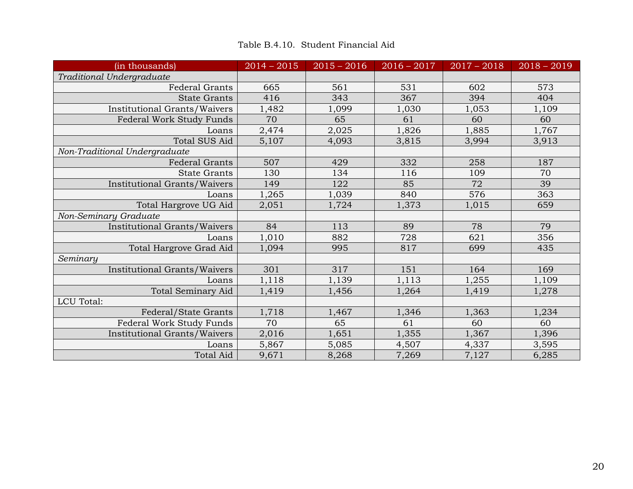<span id="page-23-0"></span>

| (in thousands)                      | $2014 - 2015$ | $2015 - 2016$ | $2016 - 2017$ | $2017 - 2018$ | $2018 - 2019$ |
|-------------------------------------|---------------|---------------|---------------|---------------|---------------|
| Traditional Undergraduate           |               |               |               |               |               |
| <b>Federal Grants</b>               | 665           | 561           | 531           | 602           | 573           |
| <b>State Grants</b>                 | 416           | 343           | 367           | 394           | 404           |
| Institutional Grants/Waivers        | 1,482         | 1,099         | 1,030         | 1,053         | 1,109         |
| Federal Work Study Funds            | 70            | 65            | 61            | 60            | 60            |
| Loans                               | 2,474         | 2,025         | 1,826         | 1,885         | 1,767         |
| <b>Total SUS Aid</b>                | 5,107         | 4,093         | 3,815         | 3,994         | 3,913         |
| Non-Traditional Undergraduate       |               |               |               |               |               |
| <b>Federal Grants</b>               | 507           | 429           | 332           | 258           | 187           |
| <b>State Grants</b>                 | 130           | 134           | 116           | 109           | 70            |
| Institutional Grants/Waivers        | 149           | 122           | 85            | 72            | 39            |
| Loans                               | 1,265         | 1,039         | 840           | 576           | 363           |
| Total Hargrove UG Aid               | 2,051         | 1,724         | 1,373         | 1,015         | 659           |
| Non-Seminary Graduate               |               |               |               |               |               |
| Institutional Grants/Waivers        | 84            | 113           | 89            | 78            | 79            |
| Loans                               | 1,010         | 882           | 728           | 621           | 356           |
| Total Hargrove Grad Aid             | 1,094         | 995           | 817           | 699           | 435           |
| Seminary                            |               |               |               |               |               |
| <b>Institutional Grants/Waivers</b> | 301           | 317           | 151           | 164           | 169           |
| Loans                               | 1,118         | 1,139         | 1,113         | 1,255         | 1,109         |
| <b>Total Seminary Aid</b>           | 1,419         | 1,456         | 1,264         | 1,419         | 1,278         |
| LCU Total:                          |               |               |               |               |               |
| Federal/State Grants                | 1,718         | 1,467         | 1,346         | 1,363         | 1,234         |
| Federal Work Study Funds            | 70            | 65            | 61            | 60            | 60            |
| Institutional Grants/Waivers        | 2,016         | 1,651         | 1,355         | 1,367         | 1,396         |
| Loans                               | 5,867         | 5,085         | 4,507         | 4,337         | 3,595         |
| <b>Total Aid</b>                    | 9,671         | 8,268         | 7,269         | 7,127         | 6,285         |

Table B.4.10. Student Financial Aid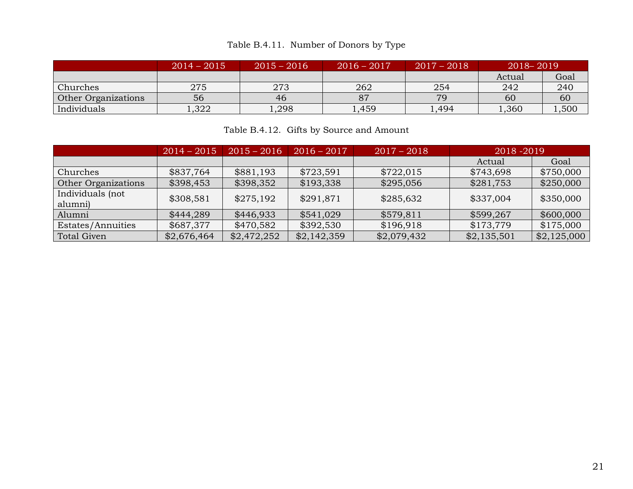### Table B.4.11. Number of Donors by Type

<span id="page-24-0"></span>

|                            | $2014 - 2015$ | $2015 - 2016$ | $2016 - 2017$ | $2017 - 2018$ | $2018 - 2019$ |       |
|----------------------------|---------------|---------------|---------------|---------------|---------------|-------|
|                            |               |               |               |               | Actual        | Goal  |
| Churches                   | 275           | 273           | 262           | 254           | 242           | 240   |
| <b>Other Organizations</b> | 56            | 46            |               | 79            | 60            | 60    |
| Individuals                | ,322          | 1,298         | 1,459         | 1,494         | 1,360         | .,500 |

### Table B.4.12. Gifts by Source and Amount

<span id="page-24-1"></span>

|                             | $2014 - 2015$ | $2015 - 2016$ | $2016 - 2017$ | $2017 - 2018$ | $2018 - 2019$ |             |
|-----------------------------|---------------|---------------|---------------|---------------|---------------|-------------|
|                             |               |               |               |               | Actual        | Goal        |
| Churches                    | \$837,764     | \$881,193     | \$723,591     | \$722,015     | \$743,698     | \$750,000   |
| Other Organizations         | \$398,453     | \$398,352     | \$193,338     | \$295,056     | \$281,753     | \$250,000   |
| Individuals (not<br>alumni) | \$308,581     | \$275,192     | \$291,871     | \$285,632     | \$337,004     | \$350,000   |
| Alumni                      | \$444,289     | \$446,933     | \$541,029     | \$579,811     | \$599,267     | \$600,000   |
| Estates/Annuities           | \$687,377     | \$470,582     | \$392,530     | \$196,918     | \$173,779     | \$175,000   |
| <b>Total Given</b>          | \$2,676,464   | \$2,472,252   | \$2,142,359   | \$2,079,432   | \$2,135,501   | \$2,125,000 |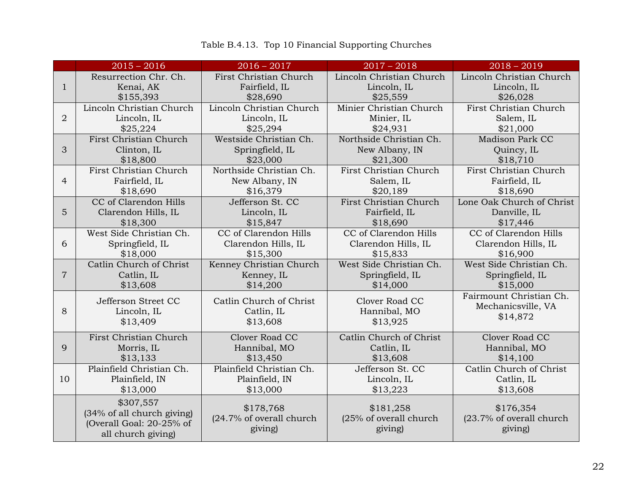<span id="page-25-0"></span>

|                | $2015 - 2016$                                                                             | $2016 - 2017$                                    | $2017 - 2018$                                  | $2018 - 2019$                                    |
|----------------|-------------------------------------------------------------------------------------------|--------------------------------------------------|------------------------------------------------|--------------------------------------------------|
| 1              | Resurrection Chr. Ch.                                                                     | First Christian Church                           | Lincoln Christian Church                       | Lincoln Christian Church                         |
|                | Kenai, AK                                                                                 | Fairfield, IL                                    | Lincoln, IL                                    | Lincoln, IL                                      |
|                | \$155,393                                                                                 | \$28,690                                         | \$25,559                                       | \$26,028                                         |
| $\overline{2}$ | Lincoln Christian Church                                                                  | Lincoln Christian Church                         | Minier Christian Church                        | First Christian Church                           |
|                | Lincoln, IL                                                                               | Lincoln, IL                                      | Minier, IL                                     | Salem, IL                                        |
|                | \$25,224                                                                                  | \$25,294                                         | \$24,931                                       | \$21,000                                         |
| 3              | First Christian Church                                                                    | Westside Christian Ch.                           | Northside Christian Ch.                        | Madison Park CC                                  |
|                | Clinton, IL                                                                               | Springfield, IL                                  | New Albany, IN                                 | Quincy, IL                                       |
|                | \$18,800                                                                                  | \$23,000                                         | \$21,300                                       | \$18,710                                         |
| $\overline{4}$ | First Christian Church                                                                    | Northside Christian Ch.                          | First Christian Church                         | First Christian Church                           |
|                | Fairfield, IL                                                                             | New Albany, IN                                   | Salem, IL                                      | Fairfield, IL                                    |
|                | \$18,690                                                                                  | \$16,379                                         | \$20,189                                       | \$18,690                                         |
| 5              | CC of Clarendon Hills                                                                     | Jefferson St. CC                                 | First Christian Church                         | Lone Oak Church of Christ                        |
|                | Clarendon Hills, IL                                                                       | Lincoln, IL                                      | Fairfield, IL                                  | Danville, IL                                     |
|                | \$18,300                                                                                  | \$15,847                                         | \$18,690                                       | \$17,446                                         |
| 6              | West Side Christian Ch.                                                                   | CC of Clarendon Hills                            | CC of Clarendon Hills                          | CC of Clarendon Hills                            |
|                | Springfield, IL                                                                           | Clarendon Hills, IL                              | Clarendon Hills, IL                            | Clarendon Hills, IL                              |
|                | \$18,000                                                                                  | \$15,300                                         | \$15,833                                       | \$16,900                                         |
| $\overline{7}$ | Catlin Church of Christ                                                                   | Kenney Christian Church                          | West Side Christian Ch.                        | West Side Christian Ch.                          |
|                | Catlin, IL                                                                                | Kenney, IL                                       | Springfield, IL                                | Springfield, IL                                  |
|                | \$13,608                                                                                  | \$14,200                                         | \$14,000                                       | \$15,000                                         |
| 8              | Jefferson Street CC                                                                       | Catlin Church of Christ                          | Clover Road CC                                 | Fairmount Christian Ch.                          |
|                | Lincoln, IL                                                                               | Catlin, IL                                       | Hannibal, MO                                   | Mechanicsville, VA                               |
|                | \$13,409                                                                                  | \$13,608                                         | \$13,925                                       | \$14,872                                         |
| 9              | First Christian Church                                                                    | Clover Road CC                                   | Catlin Church of Christ                        | Clover Road CC                                   |
|                | Morris, IL                                                                                | Hannibal, MO                                     | Catlin, IL                                     | Hannibal, MO                                     |
|                | \$13,133                                                                                  | \$13,450                                         | \$13,608                                       | \$14,100                                         |
| 10             | Plainfield Christian Ch.                                                                  | Plainfield Christian Ch.                         | Jefferson St. CC                               | Catlin Church of Christ                          |
|                | Plainfield, IN                                                                            | Plainfield, IN                                   | Lincoln, IL                                    | Catlin, IL                                       |
|                | \$13,000                                                                                  | \$13,000                                         | \$13,223                                       | \$13,608                                         |
|                | \$307,557<br>(34% of all church giving)<br>(Overall Goal: 20-25% of<br>all church giving) | \$178,768<br>(24.7% of overall church<br>giving) | \$181,258<br>(25% of overall church<br>giving) | \$176,354<br>(23.7% of overall church<br>giving) |

### Table B.4.13. Top 10 Financial Supporting Churches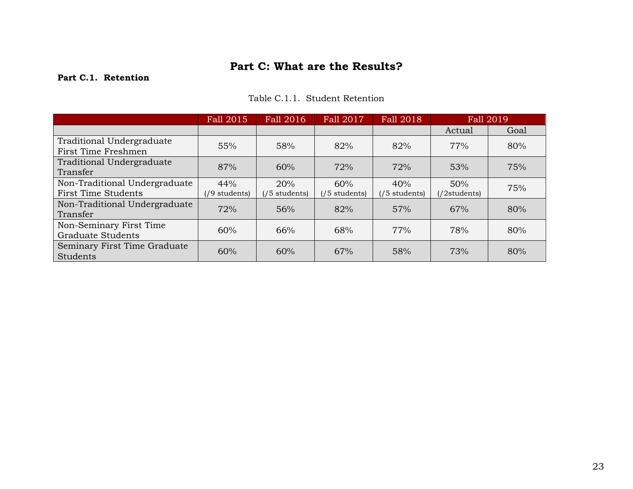### **Part C: What are the Results?**

### <span id="page-26-1"></span><span id="page-26-0"></span>**Part C.1. Retention**

### Table C.1.1. Student Retention

<span id="page-26-2"></span>

|                                                             | Fall 2015              | Fall 2016                      | Fall 2017              | Fall 2018                      | <b>Fall 2019</b>      |      |
|-------------------------------------------------------------|------------------------|--------------------------------|------------------------|--------------------------------|-----------------------|------|
|                                                             |                        |                                |                        |                                | Actual                | Goal |
| Traditional Undergraduate<br>First Time Freshmen            | 55%                    | 58%                            | 82%                    | 82%                            | 77%                   | 80%  |
| Traditional Undergraduate<br>Transfer                       | 87%                    | 60%                            | 72%                    | 72%                            | 53%                   | 75%  |
| Non-Traditional Undergraduate<br><b>First Time Students</b> | 44%<br>$(19$ students) | 20%<br>$(75 \text{ students})$ | 60%<br>$(75$ students) | 40%<br>$(75 \text{ students})$ | 50%<br>$(2$ students) | 75%  |
| Non-Traditional Undergraduate<br>Transfer                   | 72%                    | 56%                            | 82%                    | 57%                            | 67%                   | 80%  |
| Non-Seminary First Time<br><b>Graduate Students</b>         | 60%                    | 66%                            | 68%                    | 77%                            | 78%                   | 80%  |
| Seminary First Time Graduate<br>Students                    | 60%                    | 60%                            | 67%                    | 58%                            | 73%                   | 80%  |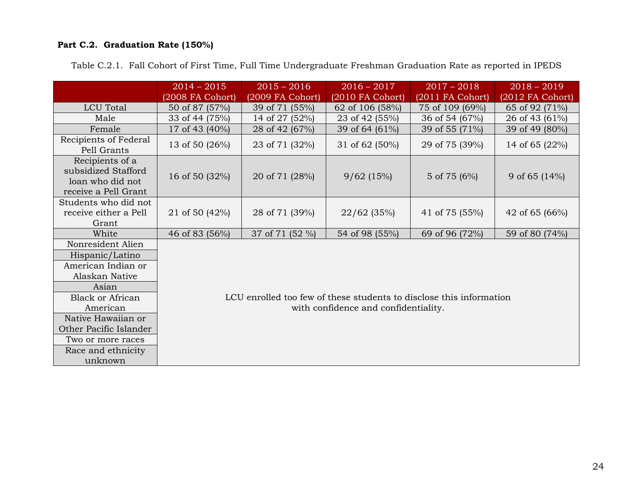### <span id="page-27-0"></span>**Part C.2. Graduation Rate (150%)**

|                                                                                    | $2014 - 2015$    | $2015 - 2016$                                                       | $2016 - 2017$                        | $2017 - 2018$    | $2018 - 2019$     |  |  |  |
|------------------------------------------------------------------------------------|------------------|---------------------------------------------------------------------|--------------------------------------|------------------|-------------------|--|--|--|
|                                                                                    | (2008 FA Cohort) | (2009 FA Cohort)                                                    | (2010 FA Cohort)                     | (2011 FA Cohort) | (2012 FA Cohort)  |  |  |  |
| <b>LCU</b> Total                                                                   | 50 of 87 (57%)   | 39 of 71 (55%)                                                      | 62 of 106 (58%)                      | 75 of 109 (69%)  | 65 of 92 (71%)    |  |  |  |
| Male                                                                               | 33 of 44 (75%)   | 14 of 27 (52%)                                                      | 23 of 42 (55%)                       | 36 of 54 (67%)   | 26 of 43 (61%)    |  |  |  |
| Female                                                                             | 17 of 43 (40%)   | 28 of 42 (67%)                                                      | 39 of 64 (61%)                       | 39 of 55 (71%)   | 39 of 49 (80%)    |  |  |  |
| Recipients of Federal<br>Pell Grants                                               | 13 of 50 (26%)   | 23 of 71 (32%)                                                      | 31 of 62 (50%)                       | 29 of 75 (39%)   | 14 of 65 $(22\%)$ |  |  |  |
| Recipients of a<br>subsidized Stafford<br>loan who did not<br>receive a Pell Grant | 16 of 50 (32%)   | 20 of 71 (28%)                                                      | 9/62(15%)                            | 5 of 75 (6%)     | 9 of 65 $(14\%)$  |  |  |  |
| Students who did not<br>receive either a Pell<br>Grant                             | 21 of 50 (42%)   | 28 of 71 (39%)                                                      | $22/62$ (35%)                        | 41 of 75 (55%)   | 42 of 65 (66%)    |  |  |  |
| White                                                                              | 46 of 83 (56%)   | 37 of 71 (52 %)                                                     | 54 of 98 (55%)                       | 69 of 96 (72%)   | 59 of 80 (74%)    |  |  |  |
| Nonresident Alien                                                                  |                  |                                                                     |                                      |                  |                   |  |  |  |
| Hispanic/Latino                                                                    |                  |                                                                     |                                      |                  |                   |  |  |  |
| American Indian or                                                                 |                  |                                                                     |                                      |                  |                   |  |  |  |
| Alaskan Native                                                                     |                  |                                                                     |                                      |                  |                   |  |  |  |
| Asian                                                                              |                  |                                                                     |                                      |                  |                   |  |  |  |
| <b>Black or African</b>                                                            |                  | LCU enrolled too few of these students to disclose this information |                                      |                  |                   |  |  |  |
| American                                                                           |                  |                                                                     | with confidence and confidentiality. |                  |                   |  |  |  |
| Native Hawaiian or                                                                 |                  |                                                                     |                                      |                  |                   |  |  |  |
| Other Pacific Islander                                                             |                  |                                                                     |                                      |                  |                   |  |  |  |
| Two or more races                                                                  |                  |                                                                     |                                      |                  |                   |  |  |  |
| Race and ethnicity                                                                 |                  |                                                                     |                                      |                  |                   |  |  |  |
| unknown                                                                            |                  |                                                                     |                                      |                  |                   |  |  |  |

<span id="page-27-1"></span>Table C.2.1. Fall Cohort of First Time, Full Time Undergraduate Freshman Graduation Rate as reported in IPEDS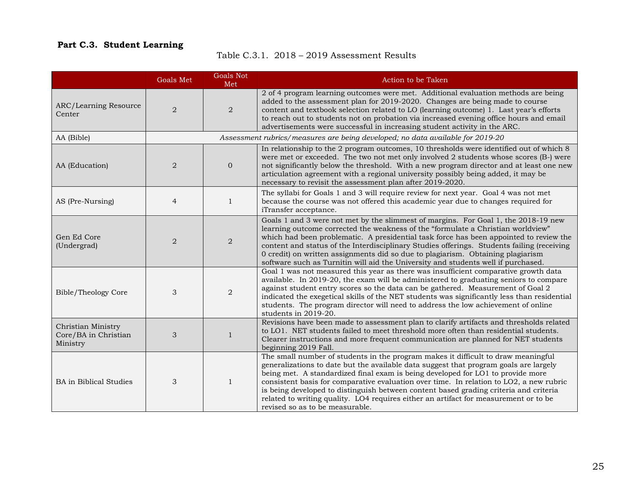### <span id="page-28-1"></span><span id="page-28-0"></span>**Part C.3. Student Learning**

### Table C.3.1. 2018 – 2019 Assessment Results

|                                                        | Goals Met      | <b>Goals Not</b><br>Met                                                        | Action to be Taken                                                                                                                                                                                                                                                                                                                                                                                                                                                                                                                                                           |  |  |
|--------------------------------------------------------|----------------|--------------------------------------------------------------------------------|------------------------------------------------------------------------------------------------------------------------------------------------------------------------------------------------------------------------------------------------------------------------------------------------------------------------------------------------------------------------------------------------------------------------------------------------------------------------------------------------------------------------------------------------------------------------------|--|--|
| ARC/Learning Resource<br>Center                        | $\overline{2}$ | $\overline{2}$                                                                 | 2 of 4 program learning outcomes were met. Additional evaluation methods are being<br>added to the assessment plan for 2019-2020. Changes are being made to course<br>content and textbook selection related to LO (learning outcome) 1. Last year's efforts<br>to reach out to students not on probation via increased evening office hours and email<br>advertisements were successful in increasing student activity in the ARC.                                                                                                                                          |  |  |
| AA (Bible)                                             |                | Assessment rubrics/measures are being developed; no data available for 2019-20 |                                                                                                                                                                                                                                                                                                                                                                                                                                                                                                                                                                              |  |  |
| AA (Education)                                         | 2              | $\mathbf 0$                                                                    | In relationship to the 2 program outcomes, 10 thresholds were identified out of which 8<br>were met or exceeded. The two not met only involved 2 students whose scores (B-) were<br>not significantly below the threshold. With a new program director and at least one new<br>articulation agreement with a regional university possibly being added, it may be<br>necessary to revisit the assessment plan after 2019-2020.                                                                                                                                                |  |  |
| AS (Pre-Nursing)                                       | $\overline{4}$ | $\mathbf{1}$                                                                   | The syllabi for Goals 1 and 3 will require review for next year. Goal 4 was not met<br>because the course was not offered this academic year due to changes required for<br>iTransfer acceptance.                                                                                                                                                                                                                                                                                                                                                                            |  |  |
| Gen Ed Core<br>(Undergrad)                             | $\overline{2}$ | $\overline{2}$                                                                 | Goals 1 and 3 were not met by the slimmest of margins. For Goal 1, the 2018-19 new<br>learning outcome corrected the weakness of the "formulate a Christian worldview"<br>which had been problematic. A presidential task force has been appointed to review the<br>content and status of the Interdisciplinary Studies offerings. Students failing (receiving<br>0 credit) on written assignments did so due to plagiarism. Obtaining plagiarism<br>software such as Turnitin will aid the University and students well if purchased.                                       |  |  |
| Bible/Theology Core                                    | 3              | $\overline{2}$                                                                 | Goal 1 was not measured this year as there was insufficient comparative growth data<br>available. In 2019-20, the exam will be administered to graduating seniors to compare<br>against student entry scores so the data can be gathered. Measurement of Goal 2<br>indicated the exegetical skills of the NET students was significantly less than residential<br>students. The program director will need to address the low achievement of online<br>students in 2019-20.                                                                                                  |  |  |
| Christian Ministry<br>Core/BA in Christian<br>Ministry | 3              | $\mathbf{1}$                                                                   | Revisions have been made to assessment plan to clarify artifacts and thresholds related<br>to LO1. NET students failed to meet threshold more often than residential students.<br>Clearer instructions and more frequent communication are planned for NET students<br>beginning 2019 Fall.                                                                                                                                                                                                                                                                                  |  |  |
| <b>BA</b> in Biblical Studies                          | 3              | $\mathbf{1}$                                                                   | The small number of students in the program makes it difficult to draw meaningful<br>generalizations to date but the available data suggest that program goals are largely<br>being met. A standardized final exam is being developed for LO1 to provide more<br>consistent basis for comparative evaluation over time. In relation to LO2, a new rubric<br>is being developed to distinguish between content based grading criteria and criteria<br>related to writing quality. LO4 requires either an artifact for measurement or to be<br>revised so as to be measurable. |  |  |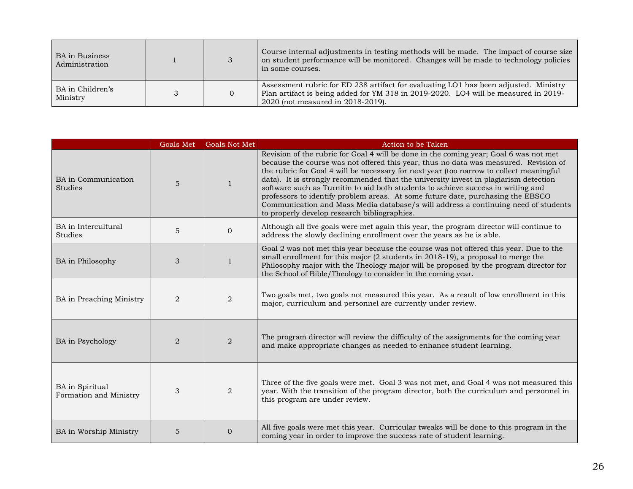| BA in Business<br>Administration |          | Course internal adjustments in testing methods will be made. The impact of course size<br>on student performance will be monitored. Changes will be made to technology policies<br>in some courses.              |
|----------------------------------|----------|------------------------------------------------------------------------------------------------------------------------------------------------------------------------------------------------------------------|
| BA in Children's<br>Ministry     | $\Omega$ | Assessment rubric for ED 238 artifact for evaluating LO1 has been adjusted. Ministry<br>Plan artifact is being added for YM 318 in 2019-2020. LO4 will be measured in 2019-<br>2020 (not measured in 2018-2019). |

|                                              | Goals Met | <b>Goals Not Met</b> | Action to be Taken                                                                                                                                                                                                                                                                                                                                                                                                                                                                                                                                                                                                                                                            |
|----------------------------------------------|-----------|----------------------|-------------------------------------------------------------------------------------------------------------------------------------------------------------------------------------------------------------------------------------------------------------------------------------------------------------------------------------------------------------------------------------------------------------------------------------------------------------------------------------------------------------------------------------------------------------------------------------------------------------------------------------------------------------------------------|
| <b>BA</b> in Communication<br><b>Studies</b> | 5         | $\mathbf{1}$         | Revision of the rubric for Goal 4 will be done in the coming year; Goal 6 was not met<br>because the course was not offered this year, thus no data was measured. Revision of<br>the rubric for Goal 4 will be necessary for next year (too narrow to collect meaningful<br>data). It is strongly recommended that the university invest in plagiarism detection<br>software such as Turnitin to aid both students to achieve success in writing and<br>professors to identify problem areas. At some future date, purchasing the EBSCO<br>Communication and Mass Media database/s will address a continuing need of students<br>to properly develop research bibliographies. |
| BA in Intercultural<br><b>Studies</b>        | 5         | $\overline{0}$       | Although all five goals were met again this year, the program director will continue to<br>address the slowly declining enrollment over the years as he is able.                                                                                                                                                                                                                                                                                                                                                                                                                                                                                                              |
| BA in Philosophy                             | 3         | $\mathbf{1}$         | Goal 2 was not met this year because the course was not offered this year. Due to the<br>small enrollment for this major (2 students in 2018-19), a proposal to merge the<br>Philosophy major with the Theology major will be proposed by the program director for<br>the School of Bible/Theology to consider in the coming year.                                                                                                                                                                                                                                                                                                                                            |
| BA in Preaching Ministry                     | 2         | $\overline{2}$       | Two goals met, two goals not measured this year. As a result of low enrollment in this<br>major, curriculum and personnel are currently under review.                                                                                                                                                                                                                                                                                                                                                                                                                                                                                                                         |
| <b>BA</b> in Psychology                      | 2         | $\overline{2}$       | The program director will review the difficulty of the assignments for the coming year<br>and make appropriate changes as needed to enhance student learning.                                                                                                                                                                                                                                                                                                                                                                                                                                                                                                                 |
| BA in Spiritual<br>Formation and Ministry    | 3         | $\overline{2}$       | Three of the five goals were met. Goal 3 was not met, and Goal 4 was not measured this<br>year. With the transition of the program director, both the curriculum and personnel in<br>this program are under review.                                                                                                                                                                                                                                                                                                                                                                                                                                                           |
| BA in Worship Ministry                       | 5         | $\Omega$             | All five goals were met this year. Curricular tweaks will be done to this program in the<br>coming year in order to improve the success rate of student learning.                                                                                                                                                                                                                                                                                                                                                                                                                                                                                                             |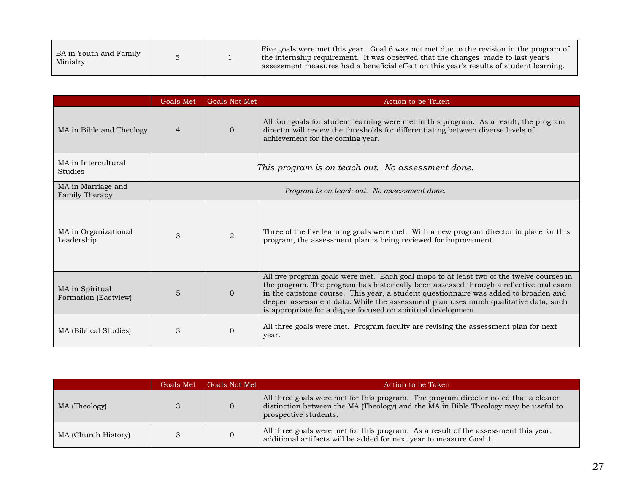| BA in Youth and Family<br>Ministry |  |  | Five goals were met this year. Goal 6 was not met due to the revision in the program of<br>the internship requirement. It was observed that the changes made to last year's<br>assessment measures had a beneficial effect on this year's results of student learning. |
|------------------------------------|--|--|------------------------------------------------------------------------------------------------------------------------------------------------------------------------------------------------------------------------------------------------------------------------|
|------------------------------------|--|--|------------------------------------------------------------------------------------------------------------------------------------------------------------------------------------------------------------------------------------------------------------------------|

|                                         | Goals Met                                         | <b>Goals Not Met</b> | Action to be Taken                                                                                                                                                                                                                                                                                                                                                                                                               |  |  |
|-----------------------------------------|---------------------------------------------------|----------------------|----------------------------------------------------------------------------------------------------------------------------------------------------------------------------------------------------------------------------------------------------------------------------------------------------------------------------------------------------------------------------------------------------------------------------------|--|--|
| MA in Bible and Theology                | $\overline{4}$                                    | $\Omega$             | All four goals for student learning were met in this program. As a result, the program<br>director will review the thresholds for differentiating between diverse levels of<br>achievement for the coming year.                                                                                                                                                                                                                  |  |  |
| MA in Intercultural<br><b>Studies</b>   | This program is on teach out. No assessment done. |                      |                                                                                                                                                                                                                                                                                                                                                                                                                                  |  |  |
| MA in Marriage and<br>Family Therapy    | Program is on teach out. No assessment done.      |                      |                                                                                                                                                                                                                                                                                                                                                                                                                                  |  |  |
| MA in Organizational<br>Leadership      | 3                                                 | 2                    | Three of the five learning goals were met. With a new program director in place for this<br>program, the assessment plan is being reviewed for improvement.                                                                                                                                                                                                                                                                      |  |  |
| MA in Spiritual<br>Formation (Eastview) | $\overline{5}$                                    | $\Omega$             | All five program goals were met. Each goal maps to at least two of the twelve courses in<br>the program. The program has historically been assessed through a reflective oral exam<br>in the capstone course. This year, a student questionnaire was added to broaden and<br>deepen assessment data. While the assessment plan uses much qualitative data, such<br>is appropriate for a degree focused on spiritual development. |  |  |
| MA (Biblical Studies)                   | 3                                                 | $\Omega$             | All three goals were met. Program faculty are revising the assessment plan for next<br>year.                                                                                                                                                                                                                                                                                                                                     |  |  |

|                     | Goals Met | Goals Not Met | Action to be Taken                                                                                                                                                                                   |
|---------------------|-----------|---------------|------------------------------------------------------------------------------------------------------------------------------------------------------------------------------------------------------|
| MA (Theology)       |           |               | All three goals were met for this program. The program director noted that a clearer<br>distinction between the MA (Theology) and the MA in Bible Theology may be useful to<br>prospective students. |
| MA (Church History) |           |               | All three goals were met for this program. As a result of the assessment this year,<br>additional artifacts will be added for next year to measure Goal 1.                                           |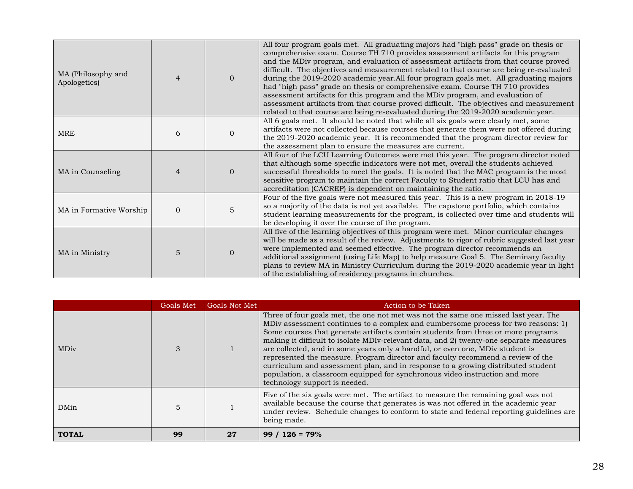| MA (Philosophy and<br>Apologetics) |          | $\Omega$       | All four program goals met. All graduating majors had "high pass" grade on thesis or<br>comprehensive exam. Course TH 710 provides assessment artifacts for this program<br>and the MDiv program, and evaluation of assessment artifacts from that course proved<br>difficult. The objectives and measurement related to that course are being re-evaluated<br>during the 2019-2020 academic year. All four program goals met. All graduating majors<br>had "high pass" grade on thesis or comprehensive exam. Course TH 710 provides<br>assessment artifacts for this program and the MDiv program, and evaluation of<br>assessment artifacts from that course proved difficult. The objectives and measurement<br>related to that course are being re-evaluated during the 2019-2020 academic year. |
|------------------------------------|----------|----------------|-------------------------------------------------------------------------------------------------------------------------------------------------------------------------------------------------------------------------------------------------------------------------------------------------------------------------------------------------------------------------------------------------------------------------------------------------------------------------------------------------------------------------------------------------------------------------------------------------------------------------------------------------------------------------------------------------------------------------------------------------------------------------------------------------------|
| <b>MRE</b>                         | 6        | $\Omega$       | All 6 goals met. It should be noted that while all six goals were clearly met, some<br>artifacts were not collected because courses that generate them were not offered during<br>the 2019-2020 academic year. It is recommended that the program director review for<br>the assessment plan to ensure the measures are current.                                                                                                                                                                                                                                                                                                                                                                                                                                                                      |
| MA in Counseling                   |          | $\overline{0}$ | All four of the LCU Learning Outcomes were met this year. The program director noted<br>that although some specific indicators were not met, overall the students achieved<br>successful thresholds to meet the goals. It is noted that the MAC program is the most<br>sensitive program to maintain the correct Faculty to Student ratio that LCU has and<br>accreditation (CACREP) is dependent on maintaining the ratio.                                                                                                                                                                                                                                                                                                                                                                           |
| MA in Formative Worship            | $\Omega$ | 5              | Four of the five goals were not measured this year. This is a new program in 2018-19<br>so a majority of the data is not yet available. The capstone portfolio, which contains<br>student learning measurements for the program, is collected over time and students will<br>be developing it over the course of the program.                                                                                                                                                                                                                                                                                                                                                                                                                                                                         |
| MA in Ministry                     | 5        | $\Omega$       | All five of the learning objectives of this program were met. Minor curricular changes<br>will be made as a result of the review. Adjustments to rigor of rubric suggested last year<br>were implemented and seemed effective. The program director recommends an<br>additional assignment (using Life Map) to help measure Goal 5. The Seminary faculty<br>plans to review MA in Ministry Curriculum during the 2019-2020 academic year in light<br>of the establishing of residency programs in churches.                                                                                                                                                                                                                                                                                           |

|              | Goals Met | <b>Goals Not Met</b> | Action to be Taken                                                                                                                                                                                                                                                                                                                                                                                                                                                                                                                                                                                                                                                                                                              |
|--------------|-----------|----------------------|---------------------------------------------------------------------------------------------------------------------------------------------------------------------------------------------------------------------------------------------------------------------------------------------------------------------------------------------------------------------------------------------------------------------------------------------------------------------------------------------------------------------------------------------------------------------------------------------------------------------------------------------------------------------------------------------------------------------------------|
| <b>MDiv</b>  |           |                      | Three of four goals met, the one not met was not the same one missed last year. The<br>MDiv assessment continues to a complex and cumbersome process for two reasons: 1)<br>Some courses that generate artifacts contain students from three or more programs<br>making it difficult to isolate MDIv-relevant data, and 2) twenty-one separate measures<br>are collected, and in some years only a handful, or even one, MDiv student is<br>represented the measure. Program director and faculty recommend a review of the<br>curriculum and assessment plan, and in response to a growing distributed student<br>population, a classroom equipped for synchronous video instruction and more<br>technology support is needed. |
| DMin         |           |                      | Five of the six goals were met. The artifact to measure the remaining goal was not<br>available because the course that generates is was not offered in the academic year<br>under review. Schedule changes to conform to state and federal reporting guidelines are<br>being made.                                                                                                                                                                                                                                                                                                                                                                                                                                             |
| <b>TOTAL</b> | 99        | 27                   | $99 / 126 = 79\%$                                                                                                                                                                                                                                                                                                                                                                                                                                                                                                                                                                                                                                                                                                               |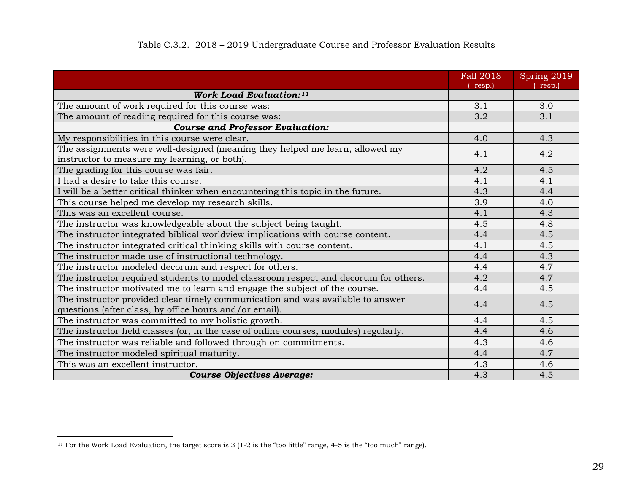<span id="page-32-1"></span><span id="page-32-0"></span>

|                                                                                                                                          | Fall 2018<br>resp.) | Spring 2019<br>resp.) |
|------------------------------------------------------------------------------------------------------------------------------------------|---------------------|-----------------------|
| <b>Work Load Evaluation:</b> <sup>11</sup>                                                                                               |                     |                       |
| The amount of work required for this course was:                                                                                         | 3.1                 | 3.0                   |
| The amount of reading required for this course was:                                                                                      | 3.2                 | 3.1                   |
| <b>Course and Professor Evaluation:</b>                                                                                                  |                     |                       |
| My responsibilities in this course were clear.                                                                                           | 4.0                 | 4.3                   |
| The assignments were well-designed (meaning they helped me learn, allowed my<br>instructor to measure my learning, or both).             | 4.1                 | 4.2                   |
| The grading for this course was fair.                                                                                                    | 4.2                 | 4.5                   |
| I had a desire to take this course.                                                                                                      | 4.1                 | 4.1                   |
| I will be a better critical thinker when encountering this topic in the future.                                                          | 4.3                 | 4.4                   |
| This course helped me develop my research skills.                                                                                        | 3.9                 | 4.0                   |
| This was an excellent course.                                                                                                            | 4.1                 | 4.3                   |
| The instructor was knowledgeable about the subject being taught.                                                                         | 4.5                 | 4.8                   |
| The instructor integrated biblical worldview implications with course content.                                                           | 4.4                 | 4.5                   |
| The instructor integrated critical thinking skills with course content.                                                                  | 4.1                 | 4.5                   |
| The instructor made use of instructional technology.                                                                                     | 4.4                 | 4.3                   |
| The instructor modeled decorum and respect for others.                                                                                   | 4.4                 | 4.7                   |
| The instructor required students to model classroom respect and decorum for others.                                                      | 4.2                 | 4.7                   |
| The instructor motivated me to learn and engage the subject of the course.                                                               | 4.4                 | 4.5                   |
| The instructor provided clear timely communication and was available to answer<br>questions (after class, by office hours and/or email). | 4.4                 | 4.5                   |
| The instructor was committed to my holistic growth.                                                                                      | 4.4                 | 4.5                   |
| The instructor held classes (or, in the case of online courses, modules) regularly.                                                      | 4.4                 | 4.6                   |
| The instructor was reliable and followed through on commitments.                                                                         | 4.3                 | 4.6                   |
| The instructor modeled spiritual maturity.                                                                                               | 4.4                 | 4.7                   |
| This was an excellent instructor.                                                                                                        | 4.3                 | 4.6                   |
| <b>Course Objectives Average:</b>                                                                                                        | 4.3                 | 4.5                   |

 $11$  For the Work Load Evaluation, the target score is 3 (1-2 is the "too little" range, 4-5 is the "too much" range).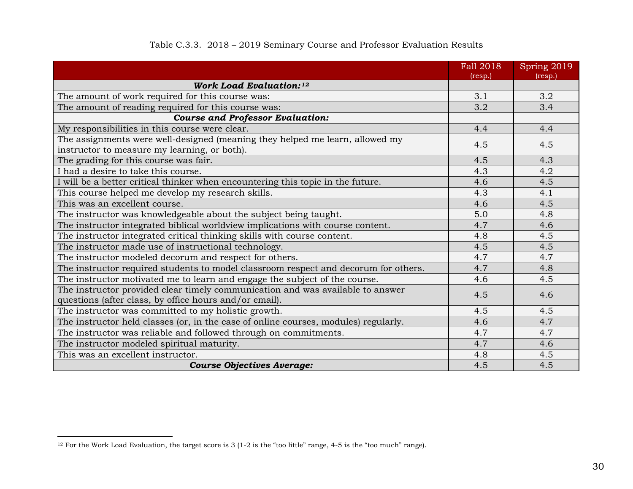<span id="page-33-0"></span>

|                                                                                     | Fall 2018<br>(resp.) | Spring 2019<br>(resp.) |
|-------------------------------------------------------------------------------------|----------------------|------------------------|
| <b>Work Load Evaluation:</b> <sup>12</sup>                                          |                      |                        |
| The amount of work required for this course was:                                    | 3.1                  | 3.2                    |
| The amount of reading required for this course was:                                 | 3.2                  | 3.4                    |
| <b>Course and Professor Evaluation:</b>                                             |                      |                        |
| My responsibilities in this course were clear.                                      | 4.4                  | 4.4                    |
| The assignments were well-designed (meaning they helped me learn, allowed my        | 4.5                  | 4.5                    |
| instructor to measure my learning, or both).                                        |                      |                        |
| The grading for this course was fair.                                               | 4.5                  | 4.3                    |
| I had a desire to take this course.                                                 | 4.3                  | 4.2                    |
| I will be a better critical thinker when encountering this topic in the future.     | 4.6                  | 4.5                    |
| This course helped me develop my research skills.                                   | 4.3                  | 4.1                    |
| This was an excellent course.                                                       | 4.6                  | 4.5                    |
| The instructor was knowledgeable about the subject being taught.                    | 5.0                  | 4.8                    |
| The instructor integrated biblical worldview implications with course content.      | 4.7                  | 4.6                    |
| The instructor integrated critical thinking skills with course content.             | 4.8                  | 4.5                    |
| The instructor made use of instructional technology.                                | 4.5                  | 4.5                    |
| The instructor modeled decorum and respect for others.                              | 4.7                  | 4.7                    |
| The instructor required students to model classroom respect and decorum for others. | 4.7                  | 4.8                    |
| The instructor motivated me to learn and engage the subject of the course.          | 4.6                  | 4.5                    |
| The instructor provided clear timely communication and was available to answer      | 4.5                  | 4.6                    |
| questions (after class, by office hours and/or email).                              |                      |                        |
| The instructor was committed to my holistic growth.                                 | 4.5                  | 4.5                    |
| The instructor held classes (or, in the case of online courses, modules) regularly. | 4.6                  | 4.7                    |
| The instructor was reliable and followed through on commitments.                    | 4.7                  | 4.7                    |
| The instructor modeled spiritual maturity.                                          | 4.7                  | 4.6                    |
| This was an excellent instructor.                                                   | 4.8                  | 4.5                    |
| <b>Course Objectives Average:</b>                                                   | 4.5                  | 4.5                    |

### <span id="page-33-1"></span>Table C.3.3. 2018 – 2019 Seminary Course and Professor Evaluation Results

 $12$  For the Work Load Evaluation, the target score is 3 (1-2 is the "too little" range, 4-5 is the "too much" range).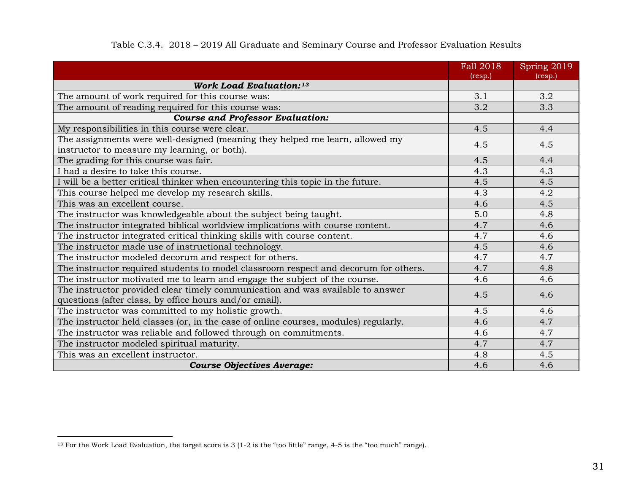<span id="page-34-0"></span>

|                                                                                                                                          | Fall 2018<br>(resp.) | Spring 2019<br>(resp.) |
|------------------------------------------------------------------------------------------------------------------------------------------|----------------------|------------------------|
| <b>Work Load Evaluation: 13</b>                                                                                                          |                      |                        |
| The amount of work required for this course was:                                                                                         | 3.1                  | 3.2                    |
| The amount of reading required for this course was:                                                                                      | 3.2                  | 3.3                    |
| <b>Course and Professor Evaluation:</b>                                                                                                  |                      |                        |
| My responsibilities in this course were clear.                                                                                           | 4.5                  | 4.4                    |
| The assignments were well-designed (meaning they helped me learn, allowed my<br>instructor to measure my learning, or both).             | 4.5                  | 4.5                    |
| The grading for this course was fair.                                                                                                    | 4.5                  | 4.4                    |
| I had a desire to take this course.                                                                                                      | 4.3                  | 4.3                    |
| I will be a better critical thinker when encountering this topic in the future.                                                          | 4.5                  | 4.5                    |
| This course helped me develop my research skills.                                                                                        | 4.3                  | 4.2                    |
| This was an excellent course.                                                                                                            | 4.6                  | 4.5                    |
| The instructor was knowledgeable about the subject being taught.                                                                         | 5.0                  | 4.8                    |
| The instructor integrated biblical worldview implications with course content.                                                           | 4.7                  | 4.6                    |
| The instructor integrated critical thinking skills with course content.                                                                  | 4.7                  | 4.6                    |
| The instructor made use of instructional technology.                                                                                     | 4.5                  | 4.6                    |
| The instructor modeled decorum and respect for others.                                                                                   | 4.7                  | 4.7                    |
| The instructor required students to model classroom respect and decorum for others.                                                      | 4.7                  | 4.8                    |
| The instructor motivated me to learn and engage the subject of the course.                                                               | 4.6                  | 4.6                    |
| The instructor provided clear timely communication and was available to answer<br>questions (after class, by office hours and/or email). | 4.5                  | 4.6                    |
| The instructor was committed to my holistic growth.                                                                                      | 4.5                  | 4.6                    |
| The instructor held classes (or, in the case of online courses, modules) regularly.                                                      | 4.6                  | 4.7                    |
| The instructor was reliable and followed through on commitments.                                                                         | 4.6                  | 4.7                    |
| The instructor modeled spiritual maturity.                                                                                               | 4.7                  | 4.7                    |
| This was an excellent instructor.                                                                                                        | 4.8                  | 4.5                    |
| <b>Course Objectives Average:</b>                                                                                                        | 4.6                  | 4.6                    |

### <span id="page-34-1"></span>Table C.3.4. 2018 – 2019 All Graduate and Seminary Course and Professor Evaluation Results

<sup>13</sup> For the Work Load Evaluation, the target score is 3 (1-2 is the "too little" range, 4-5 is the "too much" range).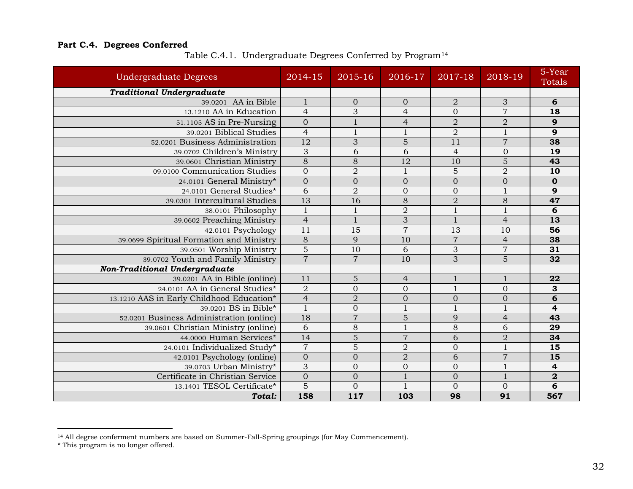### <span id="page-35-1"></span><span id="page-35-0"></span>**Part C.4. Degrees Conferred**

| <b>Undergraduate Degrees</b>              | 2014-15         | 2015-16         | $\overline{2016-17}$ | 2017-18        | 2018-19         | 5-Year<br>Totals |
|-------------------------------------------|-----------------|-----------------|----------------------|----------------|-----------------|------------------|
| <b>Traditional Undergraduate</b>          |                 |                 |                      |                |                 |                  |
| 39.0201 AA in Bible                       | $\mathbf{1}$    | $\overline{0}$  | $\mathbf{0}$         | $\overline{2}$ | 3               | 6                |
| 13.1210 AA in Education                   | $\overline{4}$  | 3               | $\overline{4}$       | $\Omega$       | $\overline{7}$  | 18               |
| 51.1105 AS in Pre-Nursing                 | $\overline{0}$  | $\mathbf{1}$    | $\overline{4}$       | $\overline{2}$ | $\overline{2}$  | 9                |
| 39.0201 Biblical Studies                  | $\overline{4}$  | $\mathbf{1}$    | $\mathbf{1}$         | $\overline{2}$ | $\mathbf{1}$    | $\overline{9}$   |
| 52.0201 Business Administration           | 12              | 3               | $\overline{5}$       | 11             | $\overline{7}$  | 38               |
| 39.0702 Children's Ministry               | $\overline{3}$  | $\overline{6}$  | $\overline{6}$       | $\overline{4}$ | $\overline{0}$  | $\overline{19}$  |
| 39.0601 Christian Ministry                | $\overline{8}$  | $\overline{8}$  | $\overline{12}$      | 10             | $\overline{5}$  | 43               |
| 09.0100 Communication Studies             | $\overline{0}$  | $\overline{2}$  | $\mathbf{1}$         | 5              | $\overline{2}$  | 10               |
| 24.0101 General Ministry*                 | $\overline{0}$  | $\overline{0}$  | $\overline{0}$       | $\overline{0}$ | $\overline{0}$  | $\mathbf 0$      |
| 24.0101 General Studies*                  | 6               | $\overline{2}$  | $\boldsymbol{0}$     | $\overline{0}$ | $\overline{1}$  | $\overline{9}$   |
| 39.0301 Intercultural Studies             | $\overline{13}$ | $\overline{16}$ | $\overline{8}$       | $\overline{2}$ | $\overline{8}$  | 47               |
| 38.0101 Philosophy                        | $1\,$           | $\mathbf{1}$    | $\overline{2}$       | $\mathbf{1}$   | $\mathbf{1}$    | 6                |
| 39.0602 Preaching Ministry                | $\overline{4}$  | $\mathbf{1}$    | 3                    | $\mathbf{1}$   | $\overline{4}$  | 13               |
| 42.0101 Psychology                        | $\overline{11}$ | $\overline{15}$ | $\overline{7}$       | 13             | $\overline{10}$ | 56               |
| 39.0699 Spiritual Formation and Ministry  | $\overline{8}$  | 9               | 10                   | $\overline{7}$ | $\overline{4}$  | 38               |
| 39.0501 Worship Ministry                  | $\overline{5}$  | 10              | 6                    | 3              | $\overline{7}$  | 31               |
| 39.0702 Youth and Family Ministry         | $\overline{7}$  | $\overline{7}$  | 10                   | $\overline{3}$ | $\overline{5}$  | $\overline{32}$  |
| <b>Non-Traditional Undergraduate</b>      |                 |                 |                      |                |                 |                  |
| 39.0201 AA in Bible (online)              | $\overline{11}$ | 5               | $\overline{4}$       | $\mathbf{1}$   | $\mathbf{1}$    | 22               |
| 24.0101 AA in General Studies*            | $\overline{2}$  | $\overline{0}$  | $\mathbf{0}$         | $\mathbf{1}$   | $\overline{0}$  | 3                |
| 13.1210 AAS in Early Childhood Education* | $\overline{4}$  | $\overline{2}$  | $\mathbf{0}$         | $\mathbf{0}$   | $\mathbf{0}$    | 6                |
| 39.0201 BS in Bible*                      | $\mathbf{1}$    | $\overline{0}$  | $\mathbf{1}$         | $\mathbf{1}$   | $\mathbf{1}$    | $\overline{4}$   |
| 52.0201 Business Administration (online)  | 18              | $\overline{7}$  | 5                    | 9              | $\overline{4}$  | 43               |
| 39.0601 Christian Ministry (online)       | 6               | 8               | $\overline{1}$       | 8              | 6               | 29               |
| 44.0000 Human Services*                   | 14              | $\overline{5}$  | $\overline{7}$       | 6              | $\overline{2}$  | $\overline{34}$  |
| 24.0101 Individualized Study*             | $\overline{7}$  | 5               | $\overline{2}$       | $\overline{0}$ | $\overline{1}$  | $\overline{15}$  |
| 42.0101 Psychology (online)               | $\overline{0}$  | $\overline{0}$  | $\overline{2}$       | 6              | $\overline{7}$  | $\overline{15}$  |
| 39.0703 Urban Ministry*                   | 3               | $\overline{0}$  | $\overline{0}$       | $\overline{0}$ | $\mathbf{1}$    | 4                |
| Certificate in Christian Service          | $\mathbf{0}$    | $\overline{0}$  | $\mathbf{1}$         | $\overline{0}$ | $\overline{1}$  | $\overline{2}$   |
| 13.1401 TESOL Certificate*                | $\overline{5}$  | $\overline{0}$  | $\mathbf{1}$         | $\overline{0}$ | $\overline{0}$  | 6                |
| Total:                                    | 158             | 117             | 103                  | 98             | 91              | 567              |

<span id="page-35-2"></span>Table C.4.1. Undergraduate Degrees Conferred by Program[14](#page-35-2)

<sup>14</sup> All degree conferment numbers are based on Summer-Fall-Spring groupings (for May Commencement).

<sup>\*</sup> This program is no longer offered.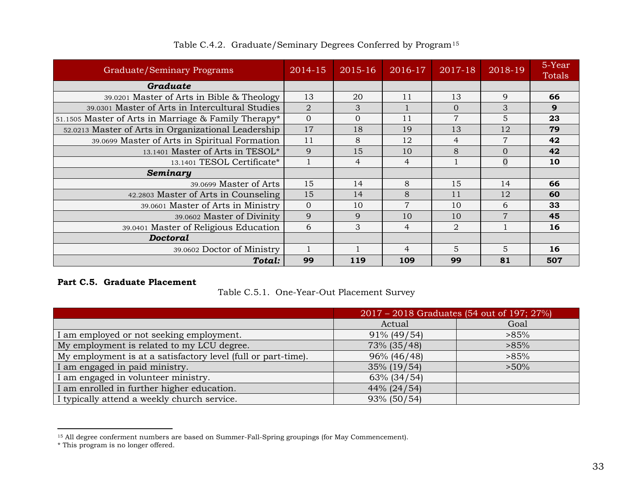<span id="page-36-0"></span>

| Graduate/Seminary Programs                           | 2014-15        | 2015-16        | 2016-17        | $2017 - 18$    | 2018-19        | 5-Year<br>Totals |
|------------------------------------------------------|----------------|----------------|----------------|----------------|----------------|------------------|
| Graduate                                             |                |                |                |                |                |                  |
| 39.0201 Master of Arts in Bible & Theology           | 13             | 20             | 11             | 13             | 9              | 66               |
| 39.0301 Master of Arts in Intercultural Studies      | $\overline{2}$ | 3              |                | $\Omega$       | 3              | 9                |
| 51.1505 Master of Arts in Marriage & Family Therapy* | $\mathbf 0$    | $\overline{0}$ | 11             | $\overline{7}$ | 5              | 23               |
| 52.0213 Master of Arts in Organizational Leadership  | 17             | 18             | 19             | 13             | 12             | 79               |
| 39.0699 Master of Arts in Spiritual Formation        | 11             | 8              | 12             | $\overline{4}$ | $\overline{7}$ | 42               |
| 13.1401 Master of Arts in TESOL*                     | 9              | 15             | 10             | 8              | $\Omega$       | 42               |
| 13.1401 TESOL Certificate*                           |                | $\overline{4}$ | $\overline{4}$ |                | $\overline{0}$ | 10               |
| Seminary                                             |                |                |                |                |                |                  |
| 39.0699 Master of Arts                               | 15             | 14             | 8              | 15             | 14             | 66               |
| 42.2803 Master of Arts in Counseling                 | 15             | 14             | 8              | 11             | 12             | 60               |
| 39.0601 Master of Arts in Ministry                   | $\Omega$       | 10             | $\overline{7}$ | 10             | 6              | 33               |
| 39.0602 Master of Divinity                           | 9              | 9              | 10             | 10             | $\overline{7}$ | 45               |
| 39.0401 Master of Religious Education                | 6              | 3              | 4              | $\mathfrak{D}$ |                | 16               |
| <b>Doctoral</b>                                      |                |                |                |                |                |                  |
| 39.0602 Doctor of Ministry                           |                |                | 4              | 5              | 5              | 16               |
| Total:                                               | 99             | 119            | 109            | 99             | 81             | 507              |

<span id="page-36-3"></span>Table C.4.2. Graduate/Seminary Degrees Conferred by Program[15](#page-36-3)

#### <span id="page-36-2"></span><span id="page-36-1"></span>**Part C.5. Graduate Placement**

Table C.5.1. One-Year-Out Placement Survey

|                                                               | 2017 – 2018 Graduates (54 out of 197; 27%) |         |
|---------------------------------------------------------------|--------------------------------------------|---------|
|                                                               | Actual                                     | Goal    |
| I am employed or not seeking employment.                      | $91\%$ (49/54)                             | $>85\%$ |
| My employment is related to my LCU degree.                    | 73% (35/48)                                | $>85\%$ |
| My employment is at a satisfactory level (full or part-time). | 96% (46/48)                                | $>85\%$ |
| I am engaged in paid ministry.                                | 35% (19/54)                                | $>50\%$ |
| I am engaged in volunteer ministry.                           | 63% (34/54)                                |         |
| I am enrolled in further higher education.                    | 44% (24/54)                                |         |
| I typically attend a weekly church service.                   | 93% (50/54)                                |         |

<sup>&</sup>lt;sup>15</sup> All degree conferment numbers are based on Summer-Fall-Spring groupings (for May Commencement).

<sup>\*</sup> This program is no longer offered.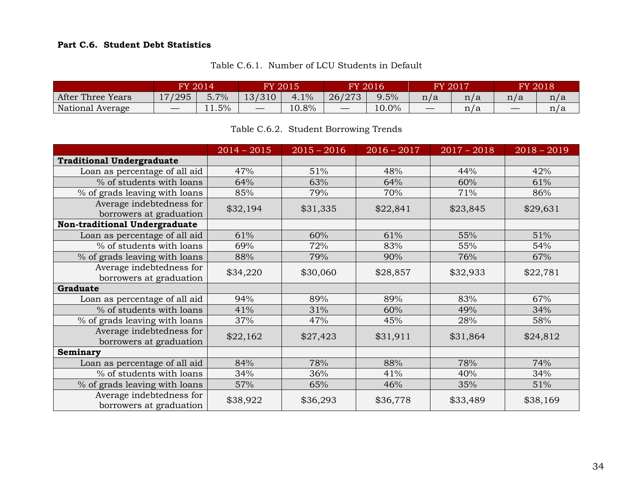### <span id="page-37-0"></span>**Part C.6. Student Debt Statistics**

<span id="page-37-1"></span>

|                   | FY 2014                       |                                                   | <b>FY 2015</b>    |       |                   | <b>FY 2016</b> | FY 2017 |     |                                 | FY 2018' |
|-------------------|-------------------------------|---------------------------------------------------|-------------------|-------|-------------------|----------------|---------|-----|---------------------------------|----------|
| After Three Years | 17/295                        | $\overline{\phantom{a}}$<br>$.7\%$<br>ວ. <i>ເ</i> | 13/310            | 4.1%  | 26/273            | 9.5%           | n/a     | n/a | n/a                             | n/a      |
| National Average  | $\overbrace{\phantom{12333}}$ | $1.5\%$                                           | $\hspace{0.05cm}$ | 10.8% | $\hspace{0.05cm}$ | 10.0%          |         | n/a | $\hspace{0.1mm}-\hspace{0.1mm}$ | n/a      |

Table C.6.1. Number of LCU Students in Default

### Table C.6.2. Student Borrowing Trends

<span id="page-37-2"></span>

|                                                     | $2014 - 2015$ | $2015 - 2016$ | $2016 - 2017$ | $2017 - 2018$ | $2018 - 2019$ |
|-----------------------------------------------------|---------------|---------------|---------------|---------------|---------------|
| <b>Traditional Undergraduate</b>                    |               |               |               |               |               |
| Loan as percentage of all aid                       | 47%           | 51%           | 48%           | 44%           | 42%           |
| % of students with loans                            | 64%           | 63%           | 64%           | 60%           | 61%           |
| % of grads leaving with loans                       | 85%           | 79%           | 70%           | 71%           | 86%           |
| Average indebtedness for<br>borrowers at graduation | \$32,194      | \$31,335      | \$22,841      | \$23,845      | \$29,631      |
| Non-traditional Undergraduate                       |               |               |               |               |               |
| Loan as percentage of all aid                       | 61%           | 60%           | 61%           | 55%           | 51%           |
| % of students with loans                            | 69%           | 72%           | 83%           | 55%           | 54%           |
| % of grads leaving with loans                       | 88%           | 79%           | 90%           | 76%           | 67%           |
| Average indebtedness for<br>borrowers at graduation | \$34,220      | \$30,060      | \$28,857      | \$32,933      | \$22,781      |
| Graduate                                            |               |               |               |               |               |
| Loan as percentage of all aid                       | 94%           | 89%           | 89%           | 83%           | 67%           |
| % of students with loans                            | 41%           | 31%           | 60%           | 49%           | 34%           |
| % of grads leaving with loans                       | 37%           | 47%           | 45%           | 28%           | 58%           |
| Average indebtedness for<br>borrowers at graduation | \$22,162      | \$27,423      | \$31,911      | \$31,864      | \$24,812      |
| Seminary                                            |               |               |               |               |               |
| Loan as percentage of all aid                       | 84%           | 78%           | 88%           | 78%           | 74%           |
| % of students with loans                            | 34%           | 36%           | 41%           | 40%           | 34%           |
| % of grads leaving with loans                       | 57%           | 65%           | 46%           | 35%           | 51%           |
| Average indebtedness for<br>borrowers at graduation | \$38,922      | \$36,293      | \$36,778      | \$33,489      | \$38,169      |